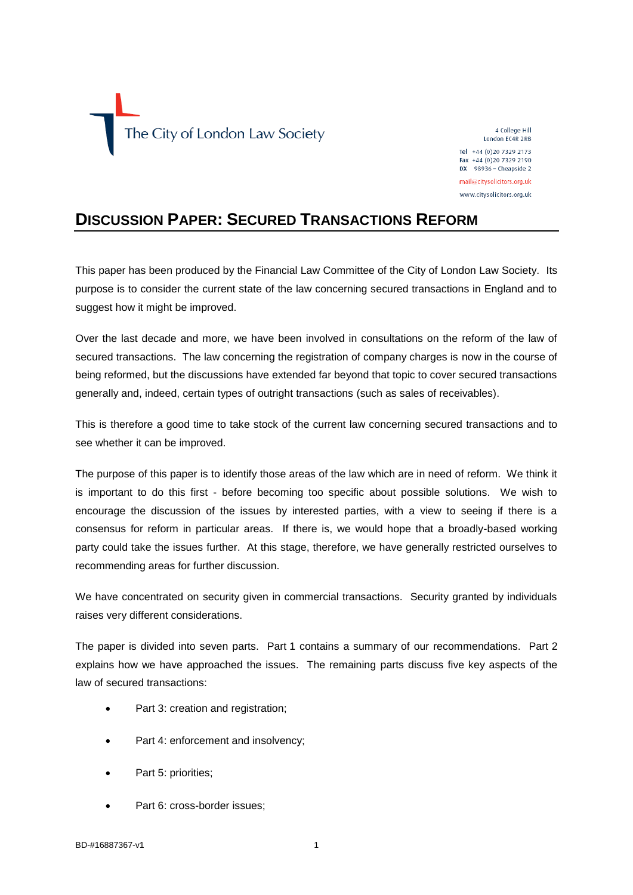

4 College Hill London FC4R 2RB Tel +44 (0)20 7329 2173 Fax +44 (0)20 7329 2190  $DX$  98936 - Cheapside 2 mail@citysolicitors.org.uk

www.citysolicitors.org.uk

# **DISCUSSION PAPER: SECURED TRANSACTIONS REFORM**

This paper has been produced by the Financial Law Committee of the City of London Law Society. Its purpose is to consider the current state of the law concerning secured transactions in England and to suggest how it might be improved.

Over the last decade and more, we have been involved in consultations on the reform of the law of secured transactions. The law concerning the registration of company charges is now in the course of being reformed, but the discussions have extended far beyond that topic to cover secured transactions generally and, indeed, certain types of outright transactions (such as sales of receivables).

This is therefore a good time to take stock of the current law concerning secured transactions and to see whether it can be improved.

The purpose of this paper is to identify those areas of the law which are in need of reform. We think it is important to do this first - before becoming too specific about possible solutions. We wish to encourage the discussion of the issues by interested parties, with a view to seeing if there is a consensus for reform in particular areas. If there is, we would hope that a broadly-based working party could take the issues further. At this stage, therefore, we have generally restricted ourselves to recommending areas for further discussion.

We have concentrated on security given in commercial transactions. Security granted by individuals raises very different considerations.

The paper is divided into seven parts. Part 1 contains a summary of our recommendations. Part 2 explains how we have approached the issues. The remaining parts discuss five key aspects of the law of secured transactions:

- Part 3: creation and registration;
- Part 4: enforcement and insolvency:
- Part 5: priorities;
- Part 6: cross-border issues;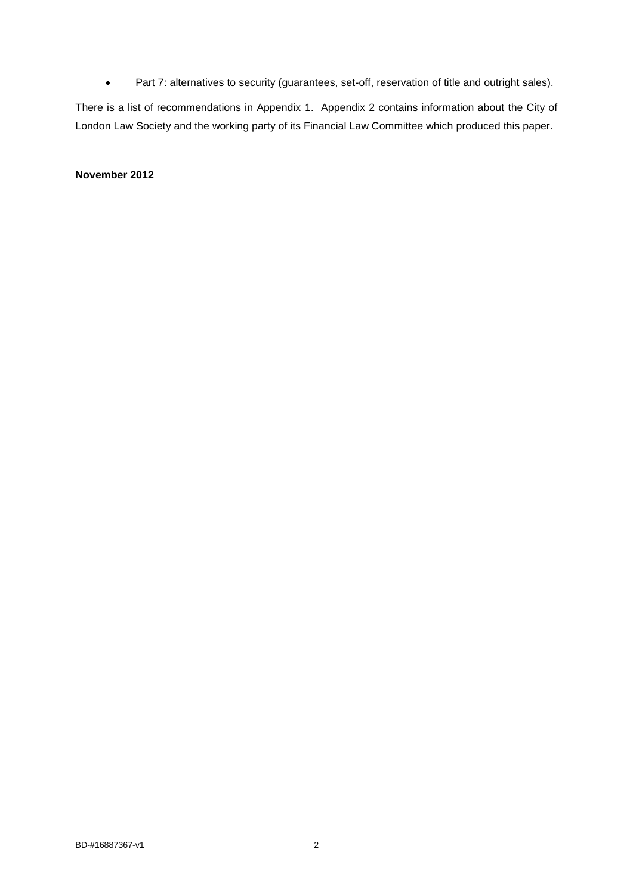• Part 7: alternatives to security (guarantees, set-off, reservation of title and outright sales).

There is a list of recommendations in Appendix 1. Appendix 2 contains information about the City of London Law Society and the working party of its Financial Law Committee which produced this paper.

**November 2012**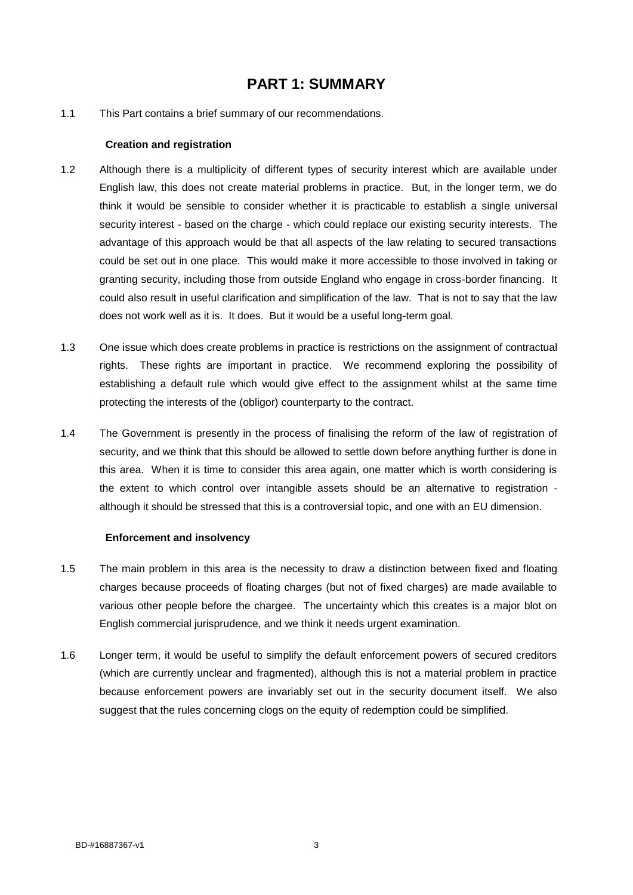# **PART 1: SUMMARY**

1.1 This Part contains a brief summary of our recommendations.

## **Creation and registration**

- 1.2 Although there is a multiplicity of different types of security interest which are available under English law, this does not create material problems in practice. But, in the longer term, we do think it would be sensible to consider whether it is practicable to establish a single universal security interest - based on the charge - which could replace our existing security interests. The advantage of this approach would be that all aspects of the law relating to secured transactions could be set out in one place. This would make it more accessible to those involved in taking or granting security, including those from outside England who engage in cross-border financing. It could also result in useful clarification and simplification of the law. That is not to say that the law does not work well as it is. It does. But it would be a useful long-term goal.
- 1.3 One issue which does create problems in practice is restrictions on the assignment of contractual rights. These rights are important in practice. We recommend exploring the possibility of establishing a default rule which would give effect to the assignment whilst at the same time protecting the interests of the (obligor) counterparty to the contract.
- 1.4 The Government is presently in the process of finalising the reform of the law of registration of security, and we think that this should be allowed to settle down before anything further is done in this area. When it is time to consider this area again, one matter which is worth considering is the extent to which control over intangible assets should be an alternative to registration although it should be stressed that this is a controversial topic, and one with an EU dimension.

### **Enforcement and insolvency**

- 1.5 The main problem in this area is the necessity to draw a distinction between fixed and floating charges because proceeds of floating charges (but not of fixed charges) are made available to various other people before the chargee. The uncertainty which this creates is a major blot on English commercial jurisprudence, and we think it needs urgent examination.
- 1.6 Longer term, it would be useful to simplify the default enforcement powers of secured creditors (which are currently unclear and fragmented), although this is not a material problem in practice because enforcement powers are invariably set out in the security document itself. We also suggest that the rules concerning clogs on the equity of redemption could be simplified.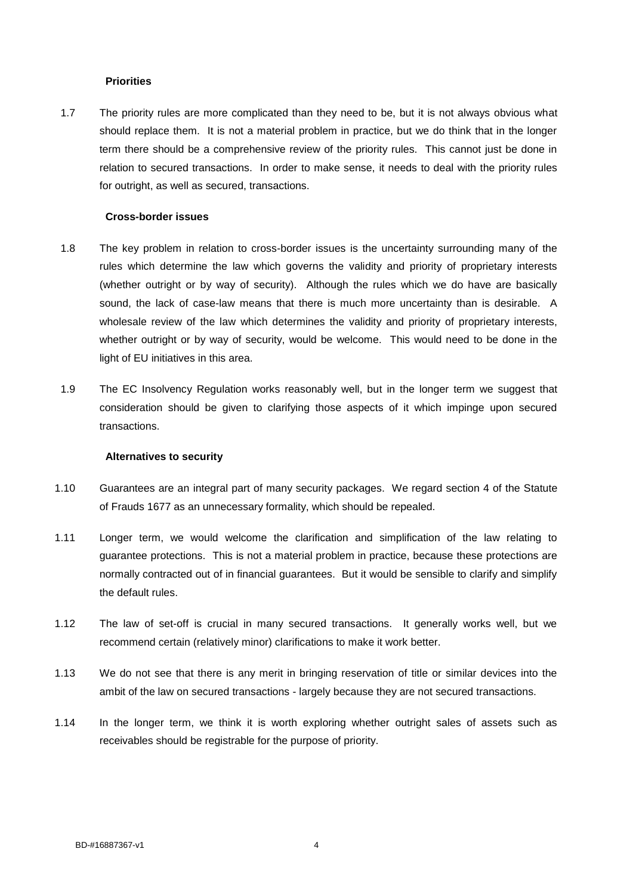### **Priorities**

1.7 The priority rules are more complicated than they need to be, but it is not always obvious what should replace them. It is not a material problem in practice, but we do think that in the longer term there should be a comprehensive review of the priority rules. This cannot just be done in relation to secured transactions. In order to make sense, it needs to deal with the priority rules for outright, as well as secured, transactions.

### **Cross-border issues**

- 1.8 The key problem in relation to cross-border issues is the uncertainty surrounding many of the rules which determine the law which governs the validity and priority of proprietary interests (whether outright or by way of security). Although the rules which we do have are basically sound, the lack of case-law means that there is much more uncertainty than is desirable. A wholesale review of the law which determines the validity and priority of proprietary interests, whether outright or by way of security, would be welcome. This would need to be done in the light of EU initiatives in this area.
- 1.9 The EC Insolvency Regulation works reasonably well, but in the longer term we suggest that consideration should be given to clarifying those aspects of it which impinge upon secured transactions.

#### **Alternatives to security**

- 1.10 Guarantees are an integral part of many security packages. We regard section 4 of the Statute of Frauds 1677 as an unnecessary formality, which should be repealed.
- 1.11 Longer term, we would welcome the clarification and simplification of the law relating to guarantee protections. This is not a material problem in practice, because these protections are normally contracted out of in financial guarantees. But it would be sensible to clarify and simplify the default rules.
- 1.12 The law of set-off is crucial in many secured transactions. It generally works well, but we recommend certain (relatively minor) clarifications to make it work better.
- 1.13 We do not see that there is any merit in bringing reservation of title or similar devices into the ambit of the law on secured transactions - largely because they are not secured transactions.
- 1.14 In the longer term, we think it is worth exploring whether outright sales of assets such as receivables should be registrable for the purpose of priority.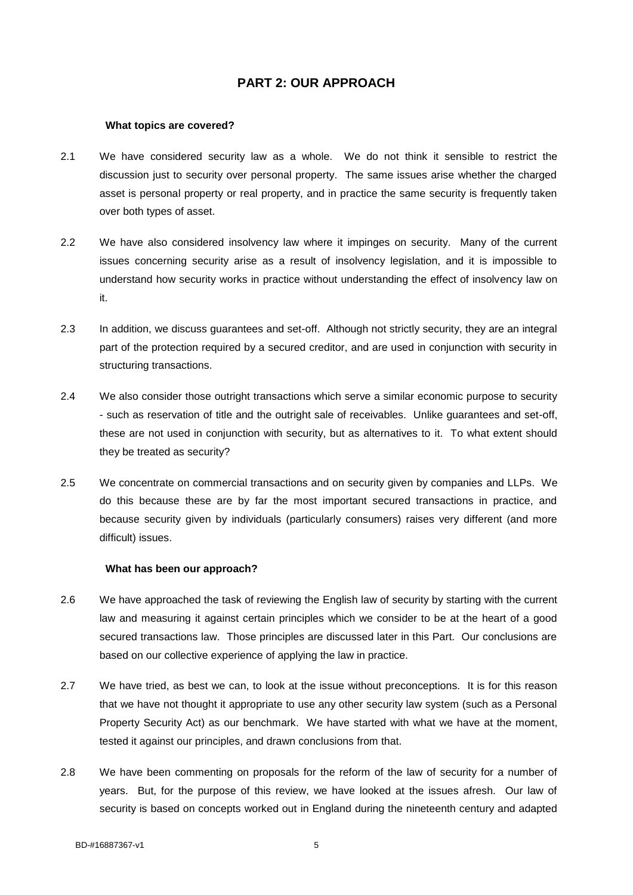# **PART 2: OUR APPROACH**

### **What topics are covered?**

- 2.1 We have considered security law as a whole. We do not think it sensible to restrict the discussion just to security over personal property. The same issues arise whether the charged asset is personal property or real property, and in practice the same security is frequently taken over both types of asset.
- 2.2 We have also considered insolvency law where it impinges on security. Many of the current issues concerning security arise as a result of insolvency legislation, and it is impossible to understand how security works in practice without understanding the effect of insolvency law on it.
- 2.3 In addition, we discuss guarantees and set-off. Although not strictly security, they are an integral part of the protection required by a secured creditor, and are used in conjunction with security in structuring transactions.
- 2.4 We also consider those outright transactions which serve a similar economic purpose to security - such as reservation of title and the outright sale of receivables. Unlike guarantees and set-off, these are not used in conjunction with security, but as alternatives to it. To what extent should they be treated as security?
- 2.5 We concentrate on commercial transactions and on security given by companies and LLPs. We do this because these are by far the most important secured transactions in practice, and because security given by individuals (particularly consumers) raises very different (and more difficult) issues.

### **What has been our approach?**

- 2.6 We have approached the task of reviewing the English law of security by starting with the current law and measuring it against certain principles which we consider to be at the heart of a good secured transactions law. Those principles are discussed later in this Part. Our conclusions are based on our collective experience of applying the law in practice.
- 2.7 We have tried, as best we can, to look at the issue without preconceptions. It is for this reason that we have not thought it appropriate to use any other security law system (such as a Personal Property Security Act) as our benchmark. We have started with what we have at the moment, tested it against our principles, and drawn conclusions from that.
- 2.8 We have been commenting on proposals for the reform of the law of security for a number of years. But, for the purpose of this review, we have looked at the issues afresh. Our law of security is based on concepts worked out in England during the nineteenth century and adapted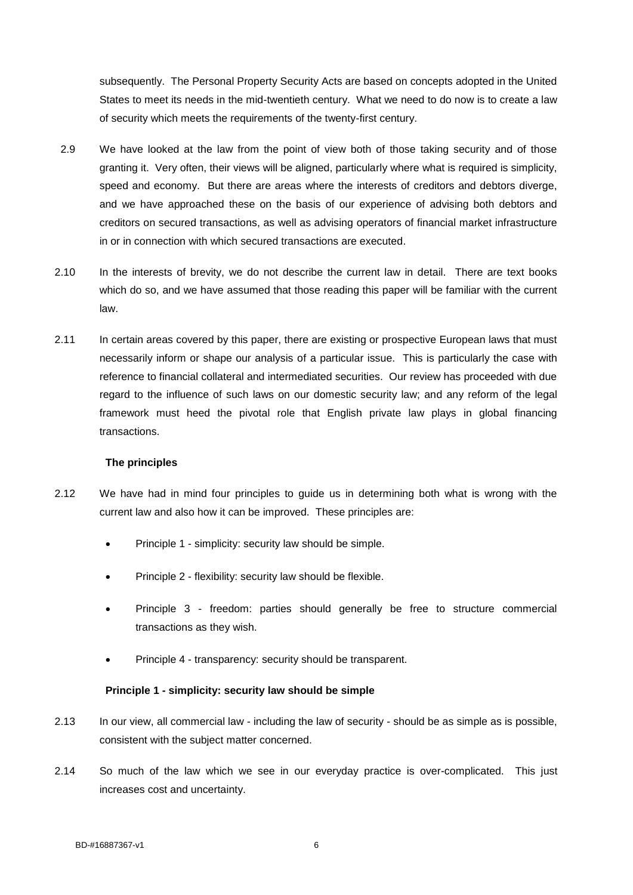subsequently. The Personal Property Security Acts are based on concepts adopted in the United States to meet its needs in the mid-twentieth century. What we need to do now is to create a law of security which meets the requirements of the twenty-first century.

- 2.9 We have looked at the law from the point of view both of those taking security and of those granting it. Very often, their views will be aligned, particularly where what is required is simplicity, speed and economy. But there are areas where the interests of creditors and debtors diverge, and we have approached these on the basis of our experience of advising both debtors and creditors on secured transactions, as well as advising operators of financial market infrastructure in or in connection with which secured transactions are executed.
- 2.10 In the interests of brevity, we do not describe the current law in detail. There are text books which do so, and we have assumed that those reading this paper will be familiar with the current law.
- 2.11 In certain areas covered by this paper, there are existing or prospective European laws that must necessarily inform or shape our analysis of a particular issue. This is particularly the case with reference to financial collateral and intermediated securities. Our review has proceeded with due regard to the influence of such laws on our domestic security law; and any reform of the legal framework must heed the pivotal role that English private law plays in global financing transactions.

## **The principles**

- 2.12 We have had in mind four principles to guide us in determining both what is wrong with the current law and also how it can be improved. These principles are:
	- Principle 1 simplicity: security law should be simple.
	- Principle 2 flexibility: security law should be flexible.
	- Principle 3 freedom: parties should generally be free to structure commercial transactions as they wish.
	- Principle 4 transparency: security should be transparent.

## **Principle 1 - simplicity: security law should be simple**

- 2.13 In our view, all commercial law including the law of security should be as simple as is possible, consistent with the subject matter concerned.
- 2.14 So much of the law which we see in our everyday practice is over-complicated. This just increases cost and uncertainty.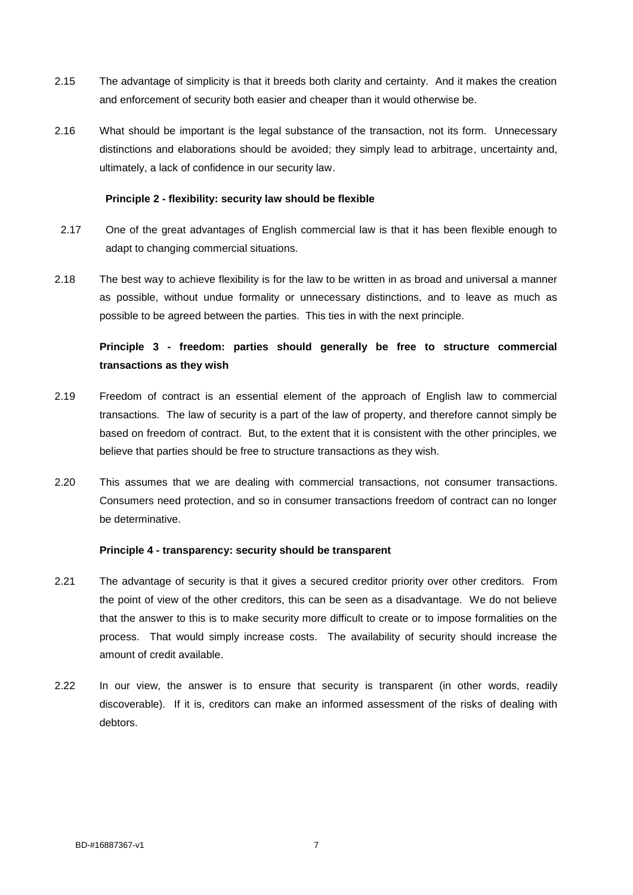- 2.15 The advantage of simplicity is that it breeds both clarity and certainty. And it makes the creation and enforcement of security both easier and cheaper than it would otherwise be.
- 2.16 What should be important is the legal substance of the transaction, not its form. Unnecessary distinctions and elaborations should be avoided; they simply lead to arbitrage, uncertainty and, ultimately, a lack of confidence in our security law.

### **Principle 2 - flexibility: security law should be flexible**

- 2.17 One of the great advantages of English commercial law is that it has been flexible enough to adapt to changing commercial situations.
- 2.18 The best way to achieve flexibility is for the law to be written in as broad and universal a manner as possible, without undue formality or unnecessary distinctions, and to leave as much as possible to be agreed between the parties. This ties in with the next principle.

# **Principle 3 - freedom: parties should generally be free to structure commercial transactions as they wish**

- 2.19 Freedom of contract is an essential element of the approach of English law to commercial transactions. The law of security is a part of the law of property, and therefore cannot simply be based on freedom of contract. But, to the extent that it is consistent with the other principles, we believe that parties should be free to structure transactions as they wish.
- 2.20 This assumes that we are dealing with commercial transactions, not consumer transactions. Consumers need protection, and so in consumer transactions freedom of contract can no longer be determinative.

### **Principle 4 - transparency: security should be transparent**

- 2.21 The advantage of security is that it gives a secured creditor priority over other creditors. From the point of view of the other creditors, this can be seen as a disadvantage. We do not believe that the answer to this is to make security more difficult to create or to impose formalities on the process. That would simply increase costs. The availability of security should increase the amount of credit available.
- 2.22 In our view, the answer is to ensure that security is transparent (in other words, readily discoverable). If it is, creditors can make an informed assessment of the risks of dealing with debtors.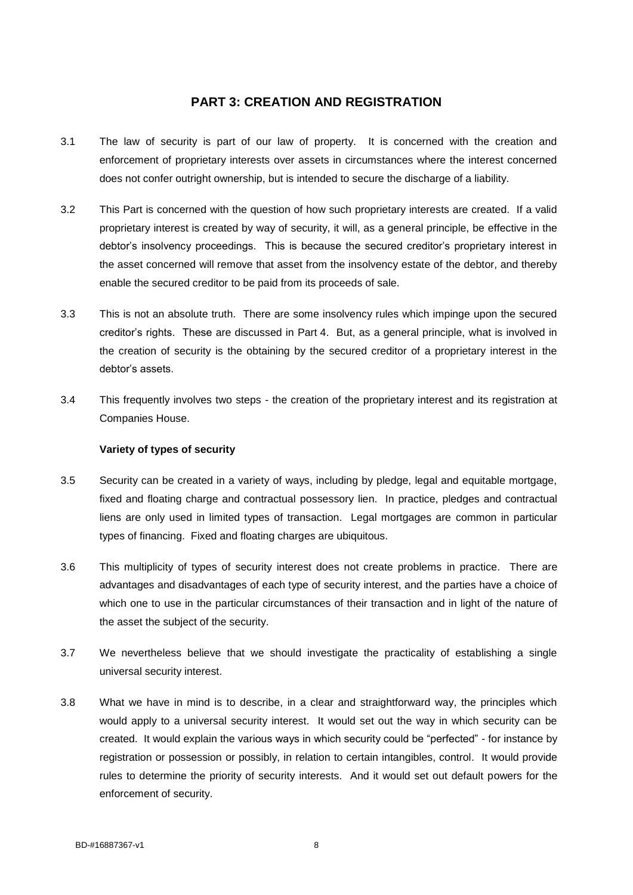# **PART 3: CREATION AND REGISTRATION**

- 3.1 The law of security is part of our law of property. It is concerned with the creation and enforcement of proprietary interests over assets in circumstances where the interest concerned does not confer outright ownership, but is intended to secure the discharge of a liability.
- 3.2 This Part is concerned with the question of how such proprietary interests are created. If a valid proprietary interest is created by way of security, it will, as a general principle, be effective in the debtor's insolvency proceedings. This is because the secured creditor's proprietary interest in the asset concerned will remove that asset from the insolvency estate of the debtor, and thereby enable the secured creditor to be paid from its proceeds of sale.
- 3.3 This is not an absolute truth. There are some insolvency rules which impinge upon the secured creditor's rights. These are discussed in Part 4. But, as a general principle, what is involved in the creation of security is the obtaining by the secured creditor of a proprietary interest in the debtor's assets.
- 3.4 This frequently involves two steps the creation of the proprietary interest and its registration at Companies House.

## **Variety of types of security**

- 3.5 Security can be created in a variety of ways, including by pledge, legal and equitable mortgage, fixed and floating charge and contractual possessory lien. In practice, pledges and contractual liens are only used in limited types of transaction. Legal mortgages are common in particular types of financing. Fixed and floating charges are ubiquitous.
- 3.6 This multiplicity of types of security interest does not create problems in practice. There are advantages and disadvantages of each type of security interest, and the parties have a choice of which one to use in the particular circumstances of their transaction and in light of the nature of the asset the subject of the security.
- 3.7 We nevertheless believe that we should investigate the practicality of establishing a single universal security interest.
- 3.8 What we have in mind is to describe, in a clear and straightforward way, the principles which would apply to a universal security interest. It would set out the way in which security can be created. It would explain the various ways in which security could be "perfected" - for instance by registration or possession or possibly, in relation to certain intangibles, control. It would provide rules to determine the priority of security interests. And it would set out default powers for the enforcement of security.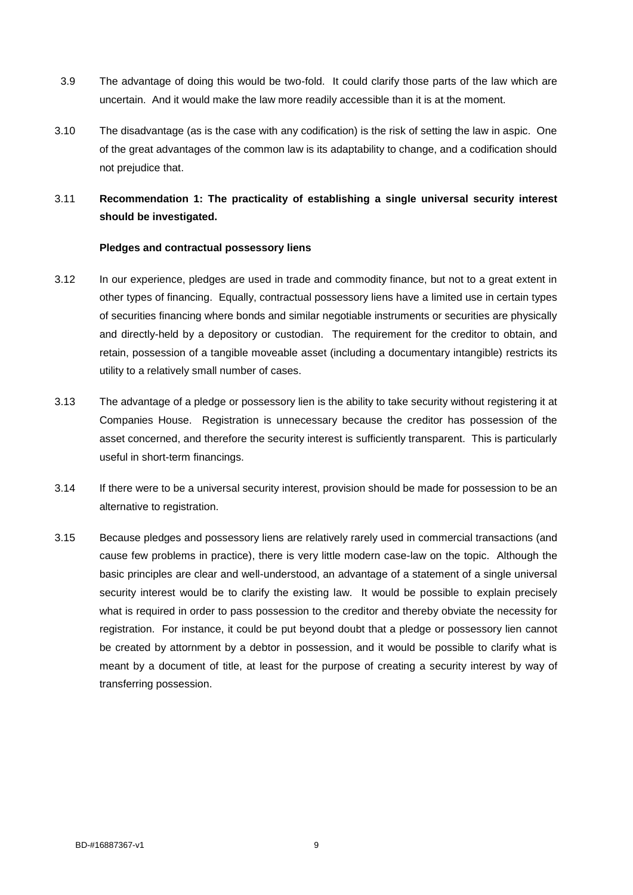- 3.9 The advantage of doing this would be two-fold. It could clarify those parts of the law which are uncertain. And it would make the law more readily accessible than it is at the moment.
- 3.10 The disadvantage (as is the case with any codification) is the risk of setting the law in aspic. One of the great advantages of the common law is its adaptability to change, and a codification should not prejudice that.

# 3.11 **Recommendation 1: The practicality of establishing a single universal security interest should be investigated.**

### **Pledges and contractual possessory liens**

- 3.12 In our experience, pledges are used in trade and commodity finance, but not to a great extent in other types of financing. Equally, contractual possessory liens have a limited use in certain types of securities financing where bonds and similar negotiable instruments or securities are physically and directly-held by a depository or custodian. The requirement for the creditor to obtain, and retain, possession of a tangible moveable asset (including a documentary intangible) restricts its utility to a relatively small number of cases.
- 3.13 The advantage of a pledge or possessory lien is the ability to take security without registering it at Companies House. Registration is unnecessary because the creditor has possession of the asset concerned, and therefore the security interest is sufficiently transparent. This is particularly useful in short-term financings.
- 3.14 If there were to be a universal security interest, provision should be made for possession to be an alternative to registration.
- 3.15 Because pledges and possessory liens are relatively rarely used in commercial transactions (and cause few problems in practice), there is very little modern case-law on the topic. Although the basic principles are clear and well-understood, an advantage of a statement of a single universal security interest would be to clarify the existing law. It would be possible to explain precisely what is required in order to pass possession to the creditor and thereby obviate the necessity for registration. For instance, it could be put beyond doubt that a pledge or possessory lien cannot be created by attornment by a debtor in possession, and it would be possible to clarify what is meant by a document of title, at least for the purpose of creating a security interest by way of transferring possession.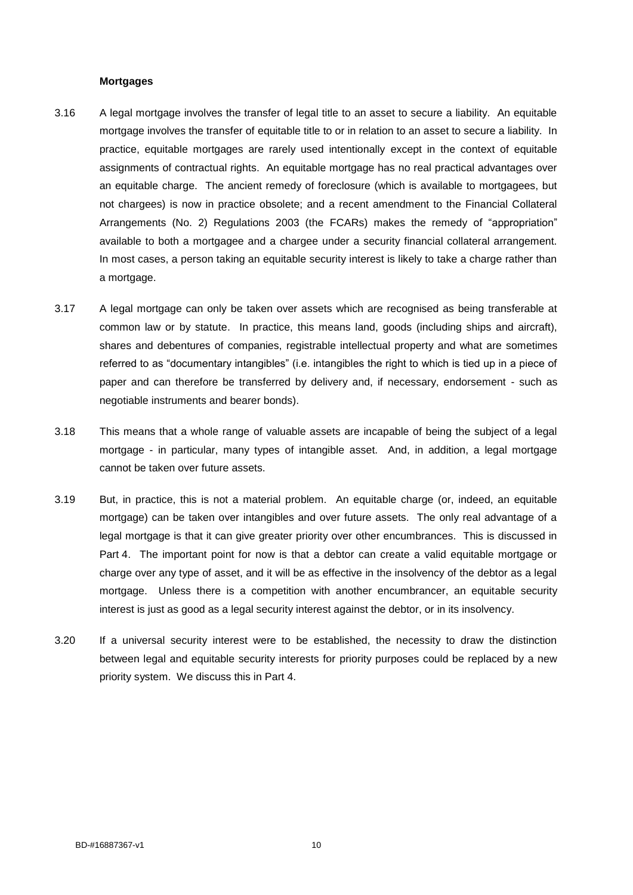#### **Mortgages**

- 3.16 A legal mortgage involves the transfer of legal title to an asset to secure a liability. An equitable mortgage involves the transfer of equitable title to or in relation to an asset to secure a liability. In practice, equitable mortgages are rarely used intentionally except in the context of equitable assignments of contractual rights. An equitable mortgage has no real practical advantages over an equitable charge. The ancient remedy of foreclosure (which is available to mortgagees, but not chargees) is now in practice obsolete; and a recent amendment to the Financial Collateral Arrangements (No. 2) Regulations 2003 (the FCARs) makes the remedy of "appropriation" available to both a mortgagee and a chargee under a security financial collateral arrangement. In most cases, a person taking an equitable security interest is likely to take a charge rather than a mortgage.
- 3.17 A legal mortgage can only be taken over assets which are recognised as being transferable at common law or by statute. In practice, this means land, goods (including ships and aircraft), shares and debentures of companies, registrable intellectual property and what are sometimes referred to as "documentary intangibles" (i.e. intangibles the right to which is tied up in a piece of paper and can therefore be transferred by delivery and, if necessary, endorsement - such as negotiable instruments and bearer bonds).
- 3.18 This means that a whole range of valuable assets are incapable of being the subject of a legal mortgage - in particular, many types of intangible asset. And, in addition, a legal mortgage cannot be taken over future assets.
- 3.19 But, in practice, this is not a material problem. An equitable charge (or, indeed, an equitable mortgage) can be taken over intangibles and over future assets. The only real advantage of a legal mortgage is that it can give greater priority over other encumbrances. This is discussed in Part 4. The important point for now is that a debtor can create a valid equitable mortgage or charge over any type of asset, and it will be as effective in the insolvency of the debtor as a legal mortgage. Unless there is a competition with another encumbrancer, an equitable security interest is just as good as a legal security interest against the debtor, or in its insolvency.
- 3.20 If a universal security interest were to be established, the necessity to draw the distinction between legal and equitable security interests for priority purposes could be replaced by a new priority system. We discuss this in Part 4.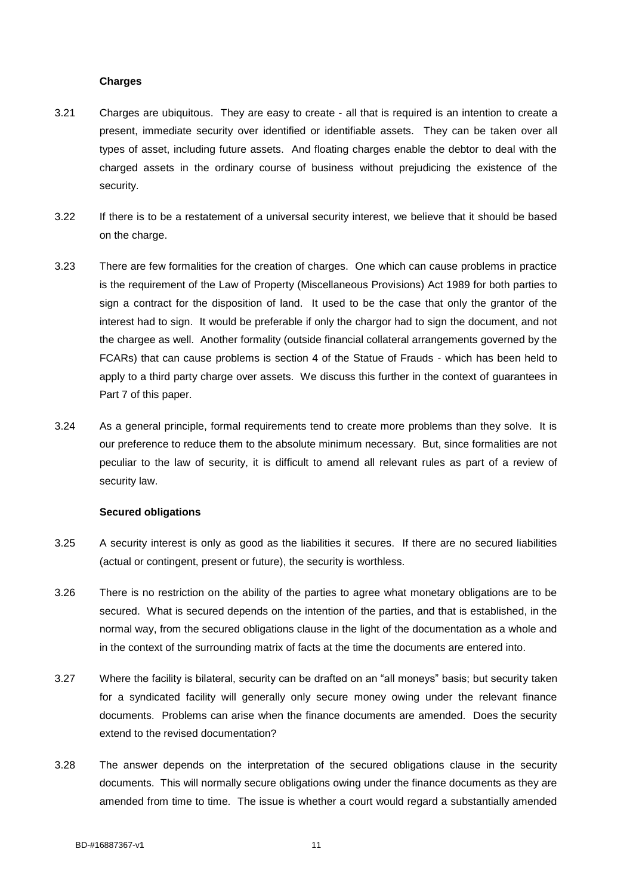#### **Charges**

- 3.21 Charges are ubiquitous. They are easy to create all that is required is an intention to create a present, immediate security over identified or identifiable assets. They can be taken over all types of asset, including future assets. And floating charges enable the debtor to deal with the charged assets in the ordinary course of business without prejudicing the existence of the security.
- 3.22 If there is to be a restatement of a universal security interest, we believe that it should be based on the charge.
- 3.23 There are few formalities for the creation of charges. One which can cause problems in practice is the requirement of the Law of Property (Miscellaneous Provisions) Act 1989 for both parties to sign a contract for the disposition of land. It used to be the case that only the grantor of the interest had to sign. It would be preferable if only the chargor had to sign the document, and not the chargee as well. Another formality (outside financial collateral arrangements governed by the FCARs) that can cause problems is section 4 of the Statue of Frauds - which has been held to apply to a third party charge over assets. We discuss this further in the context of guarantees in Part 7 of this paper.
- 3.24 As a general principle, formal requirements tend to create more problems than they solve. It is our preference to reduce them to the absolute minimum necessary. But, since formalities are not peculiar to the law of security, it is difficult to amend all relevant rules as part of a review of security law.

### **Secured obligations**

- 3.25 A security interest is only as good as the liabilities it secures. If there are no secured liabilities (actual or contingent, present or future), the security is worthless.
- 3.26 There is no restriction on the ability of the parties to agree what monetary obligations are to be secured. What is secured depends on the intention of the parties, and that is established, in the normal way, from the secured obligations clause in the light of the documentation as a whole and in the context of the surrounding matrix of facts at the time the documents are entered into.
- 3.27 Where the facility is bilateral, security can be drafted on an "all moneys" basis; but security taken for a syndicated facility will generally only secure money owing under the relevant finance documents. Problems can arise when the finance documents are amended. Does the security extend to the revised documentation?
- 3.28 The answer depends on the interpretation of the secured obligations clause in the security documents. This will normally secure obligations owing under the finance documents as they are amended from time to time. The issue is whether a court would regard a substantially amended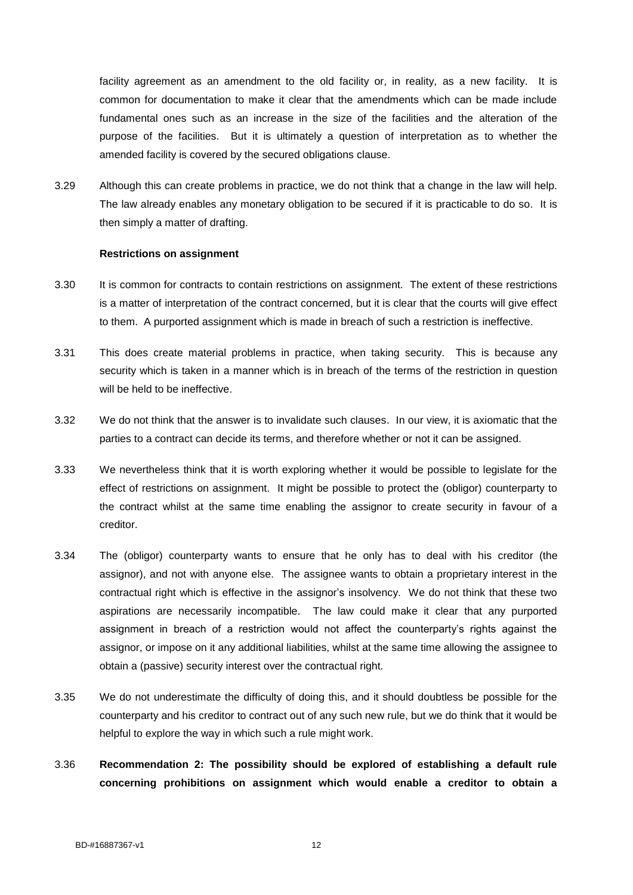facility agreement as an amendment to the old facility or, in reality, as a new facility. It is common for documentation to make it clear that the amendments which can be made include fundamental ones such as an increase in the size of the facilities and the alteration of the purpose of the facilities. But it is ultimately a question of interpretation as to whether the amended facility is covered by the secured obligations clause.

3.29 Although this can create problems in practice, we do not think that a change in the law will help. The law already enables any monetary obligation to be secured if it is practicable to do so. It is then simply a matter of drafting.

#### **Restrictions on assignment**

- 3.30 It is common for contracts to contain restrictions on assignment. The extent of these restrictions is a matter of interpretation of the contract concerned, but it is clear that the courts will give effect to them. A purported assignment which is made in breach of such a restriction is ineffective.
- 3.31 This does create material problems in practice, when taking security. This is because any security which is taken in a manner which is in breach of the terms of the restriction in question will be held to be ineffective.
- 3.32 We do not think that the answer is to invalidate such clauses. In our view, it is axiomatic that the parties to a contract can decide its terms, and therefore whether or not it can be assigned.
- 3.33 We nevertheless think that it is worth exploring whether it would be possible to legislate for the effect of restrictions on assignment. It might be possible to protect the (obligor) counterparty to the contract whilst at the same time enabling the assignor to create security in favour of a creditor.
- 3.34 The (obligor) counterparty wants to ensure that he only has to deal with his creditor (the assignor), and not with anyone else. The assignee wants to obtain a proprietary interest in the contractual right which is effective in the assignor's insolvency. We do not think that these two aspirations are necessarily incompatible. The law could make it clear that any purported assignment in breach of a restriction would not affect the counterparty's rights against the assignor, or impose on it any additional liabilities, whilst at the same time allowing the assignee to obtain a (passive) security interest over the contractual right.
- 3.35 We do not underestimate the difficulty of doing this, and it should doubtless be possible for the counterparty and his creditor to contract out of any such new rule, but we do think that it would be helpful to explore the way in which such a rule might work.
- 3.36 **Recommendation 2: The possibility should be explored of establishing a default rule concerning prohibitions on assignment which would enable a creditor to obtain a**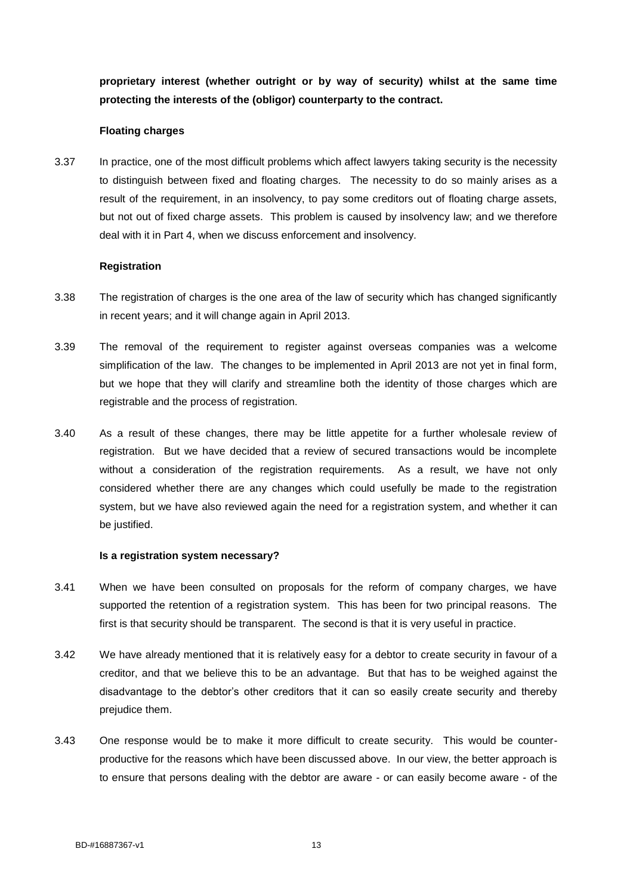**proprietary interest (whether outright or by way of security) whilst at the same time protecting the interests of the (obligor) counterparty to the contract.**

### **Floating charges**

3.37 In practice, one of the most difficult problems which affect lawyers taking security is the necessity to distinguish between fixed and floating charges. The necessity to do so mainly arises as a result of the requirement, in an insolvency, to pay some creditors out of floating charge assets, but not out of fixed charge assets. This problem is caused by insolvency law; and we therefore deal with it in Part 4, when we discuss enforcement and insolvency.

### **Registration**

- 3.38 The registration of charges is the one area of the law of security which has changed significantly in recent years; and it will change again in April 2013.
- 3.39 The removal of the requirement to register against overseas companies was a welcome simplification of the law. The changes to be implemented in April 2013 are not yet in final form, but we hope that they will clarify and streamline both the identity of those charges which are registrable and the process of registration.
- 3.40 As a result of these changes, there may be little appetite for a further wholesale review of registration. But we have decided that a review of secured transactions would be incomplete without a consideration of the registration requirements. As a result, we have not only considered whether there are any changes which could usefully be made to the registration system, but we have also reviewed again the need for a registration system, and whether it can be justified.

### **Is a registration system necessary?**

- 3.41 When we have been consulted on proposals for the reform of company charges, we have supported the retention of a registration system. This has been for two principal reasons. The first is that security should be transparent. The second is that it is very useful in practice.
- 3.42 We have already mentioned that it is relatively easy for a debtor to create security in favour of a creditor, and that we believe this to be an advantage. But that has to be weighed against the disadvantage to the debtor's other creditors that it can so easily create security and thereby prejudice them.
- 3.43 One response would be to make it more difficult to create security. This would be counterproductive for the reasons which have been discussed above. In our view, the better approach is to ensure that persons dealing with the debtor are aware - or can easily become aware - of the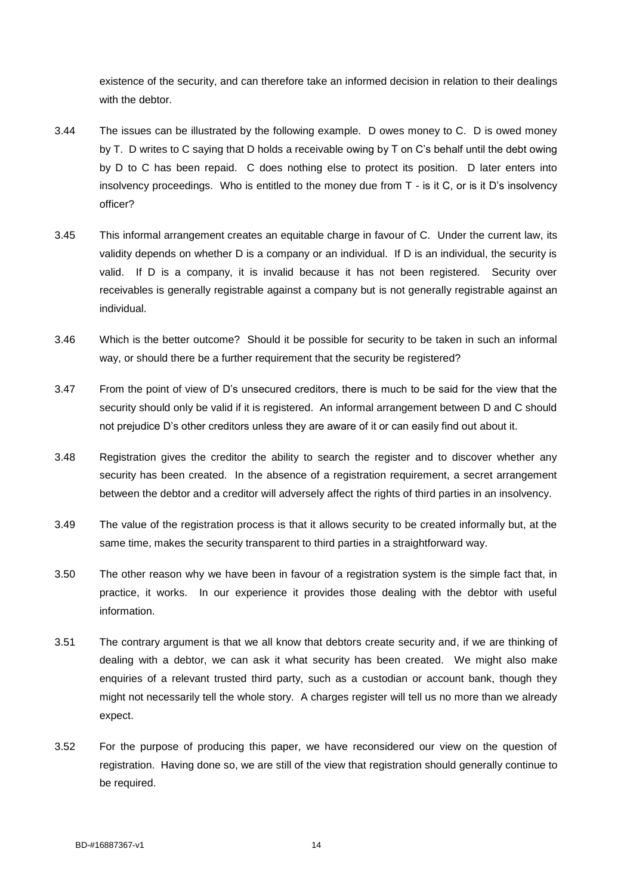existence of the security, and can therefore take an informed decision in relation to their dealings with the debtor

- 3.44 The issues can be illustrated by the following example. D owes money to C. D is owed money by T. D writes to C saying that D holds a receivable owing by T on C's behalf until the debt owing by D to C has been repaid. C does nothing else to protect its position. D later enters into insolvency proceedings. Who is entitled to the money due from T - is it C, or is it D's insolvency officer?
- 3.45 This informal arrangement creates an equitable charge in favour of C. Under the current law, its validity depends on whether D is a company or an individual. If D is an individual, the security is valid. If D is a company, it is invalid because it has not been registered. Security over receivables is generally registrable against a company but is not generally registrable against an individual.
- 3.46 Which is the better outcome? Should it be possible for security to be taken in such an informal way, or should there be a further requirement that the security be registered?
- 3.47 From the point of view of D's unsecured creditors, there is much to be said for the view that the security should only be valid if it is registered. An informal arrangement between D and C should not prejudice D's other creditors unless they are aware of it or can easily find out about it.
- 3.48 Registration gives the creditor the ability to search the register and to discover whether any security has been created. In the absence of a registration requirement, a secret arrangement between the debtor and a creditor will adversely affect the rights of third parties in an insolvency.
- 3.49 The value of the registration process is that it allows security to be created informally but, at the same time, makes the security transparent to third parties in a straightforward way.
- 3.50 The other reason why we have been in favour of a registration system is the simple fact that, in practice, it works. In our experience it provides those dealing with the debtor with useful information.
- 3.51 The contrary argument is that we all know that debtors create security and, if we are thinking of dealing with a debtor, we can ask it what security has been created. We might also make enquiries of a relevant trusted third party, such as a custodian or account bank, though they might not necessarily tell the whole story. A charges register will tell us no more than we already expect.
- 3.52 For the purpose of producing this paper, we have reconsidered our view on the question of registration. Having done so, we are still of the view that registration should generally continue to be required.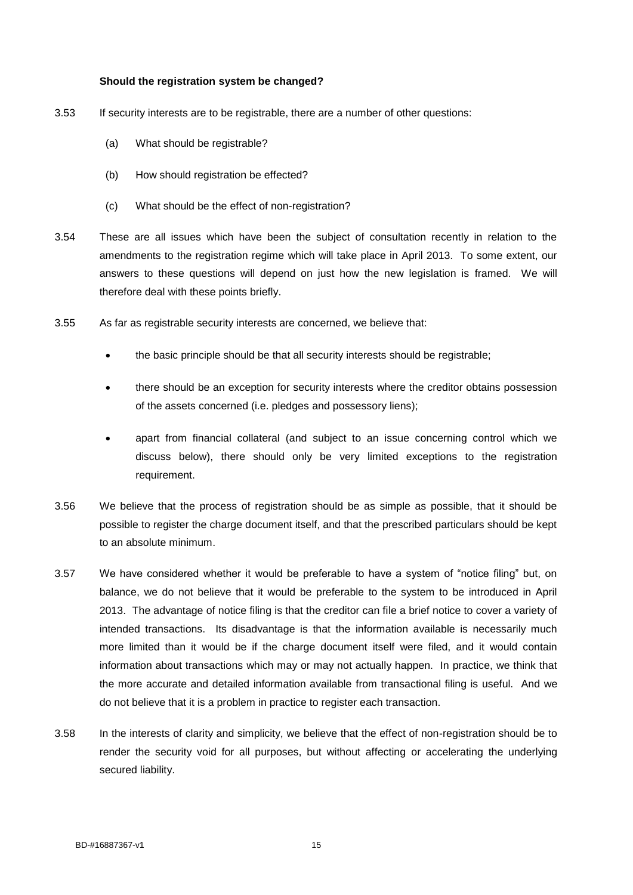### **Should the registration system be changed?**

- 3.53 If security interests are to be registrable, there are a number of other questions:
	- (a) What should be registrable?
	- (b) How should registration be effected?
	- (c) What should be the effect of non-registration?
- 3.54 These are all issues which have been the subject of consultation recently in relation to the amendments to the registration regime which will take place in April 2013. To some extent, our answers to these questions will depend on just how the new legislation is framed. We will therefore deal with these points briefly.
- 3.55 As far as registrable security interests are concerned, we believe that:
	- the basic principle should be that all security interests should be registrable;
	- there should be an exception for security interests where the creditor obtains possession of the assets concerned (i.e. pledges and possessory liens);
	- apart from financial collateral (and subject to an issue concerning control which we discuss below), there should only be very limited exceptions to the registration requirement.
- 3.56 We believe that the process of registration should be as simple as possible, that it should be possible to register the charge document itself, and that the prescribed particulars should be kept to an absolute minimum.
- 3.57 We have considered whether it would be preferable to have a system of "notice filing" but, on balance, we do not believe that it would be preferable to the system to be introduced in April 2013. The advantage of notice filing is that the creditor can file a brief notice to cover a variety of intended transactions. Its disadvantage is that the information available is necessarily much more limited than it would be if the charge document itself were filed, and it would contain information about transactions which may or may not actually happen. In practice, we think that the more accurate and detailed information available from transactional filing is useful. And we do not believe that it is a problem in practice to register each transaction.
- 3.58 In the interests of clarity and simplicity, we believe that the effect of non-registration should be to render the security void for all purposes, but without affecting or accelerating the underlying secured liability.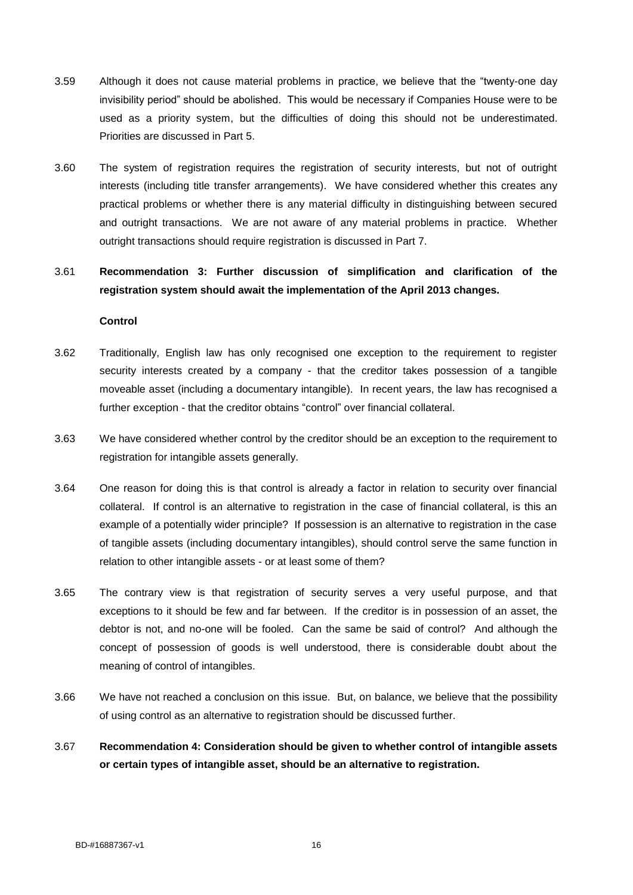- 3.59 Although it does not cause material problems in practice, we believe that the "twenty-one day invisibility period" should be abolished. This would be necessary if Companies House were to be used as a priority system, but the difficulties of doing this should not be underestimated. Priorities are discussed in Part 5.
- 3.60 The system of registration requires the registration of security interests, but not of outright interests (including title transfer arrangements). We have considered whether this creates any practical problems or whether there is any material difficulty in distinguishing between secured and outright transactions. We are not aware of any material problems in practice. Whether outright transactions should require registration is discussed in Part 7.

# 3.61 **Recommendation 3: Further discussion of simplification and clarification of the registration system should await the implementation of the April 2013 changes.**

### **Control**

- 3.62 Traditionally, English law has only recognised one exception to the requirement to register security interests created by a company - that the creditor takes possession of a tangible moveable asset (including a documentary intangible). In recent years, the law has recognised a further exception - that the creditor obtains "control" over financial collateral.
- 3.63 We have considered whether control by the creditor should be an exception to the requirement to registration for intangible assets generally.
- 3.64 One reason for doing this is that control is already a factor in relation to security over financial collateral. If control is an alternative to registration in the case of financial collateral, is this an example of a potentially wider principle? If possession is an alternative to registration in the case of tangible assets (including documentary intangibles), should control serve the same function in relation to other intangible assets - or at least some of them?
- 3.65 The contrary view is that registration of security serves a very useful purpose, and that exceptions to it should be few and far between. If the creditor is in possession of an asset, the debtor is not, and no-one will be fooled. Can the same be said of control? And although the concept of possession of goods is well understood, there is considerable doubt about the meaning of control of intangibles.
- 3.66 We have not reached a conclusion on this issue. But, on balance, we believe that the possibility of using control as an alternative to registration should be discussed further.
- 3.67 **Recommendation 4: Consideration should be given to whether control of intangible assets or certain types of intangible asset, should be an alternative to registration.**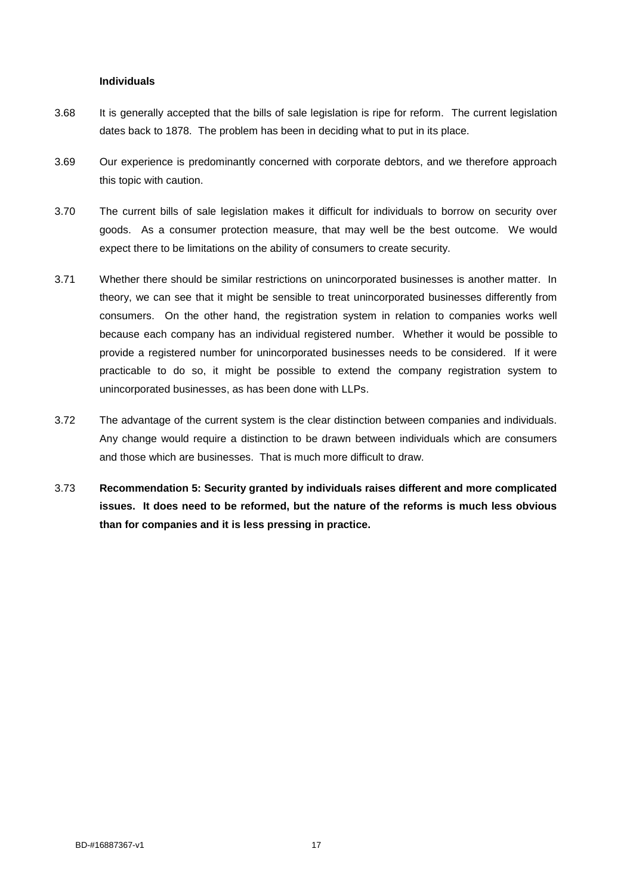### **Individuals**

- 3.68 It is generally accepted that the bills of sale legislation is ripe for reform. The current legislation dates back to 1878. The problem has been in deciding what to put in its place.
- 3.69 Our experience is predominantly concerned with corporate debtors, and we therefore approach this topic with caution.
- 3.70 The current bills of sale legislation makes it difficult for individuals to borrow on security over goods. As a consumer protection measure, that may well be the best outcome. We would expect there to be limitations on the ability of consumers to create security.
- 3.71 Whether there should be similar restrictions on unincorporated businesses is another matter. In theory, we can see that it might be sensible to treat unincorporated businesses differently from consumers. On the other hand, the registration system in relation to companies works well because each company has an individual registered number. Whether it would be possible to provide a registered number for unincorporated businesses needs to be considered. If it were practicable to do so, it might be possible to extend the company registration system to unincorporated businesses, as has been done with LLPs.
- 3.72 The advantage of the current system is the clear distinction between companies and individuals. Any change would require a distinction to be drawn between individuals which are consumers and those which are businesses. That is much more difficult to draw.
- 3.73 **Recommendation 5: Security granted by individuals raises different and more complicated issues. It does need to be reformed, but the nature of the reforms is much less obvious than for companies and it is less pressing in practice.**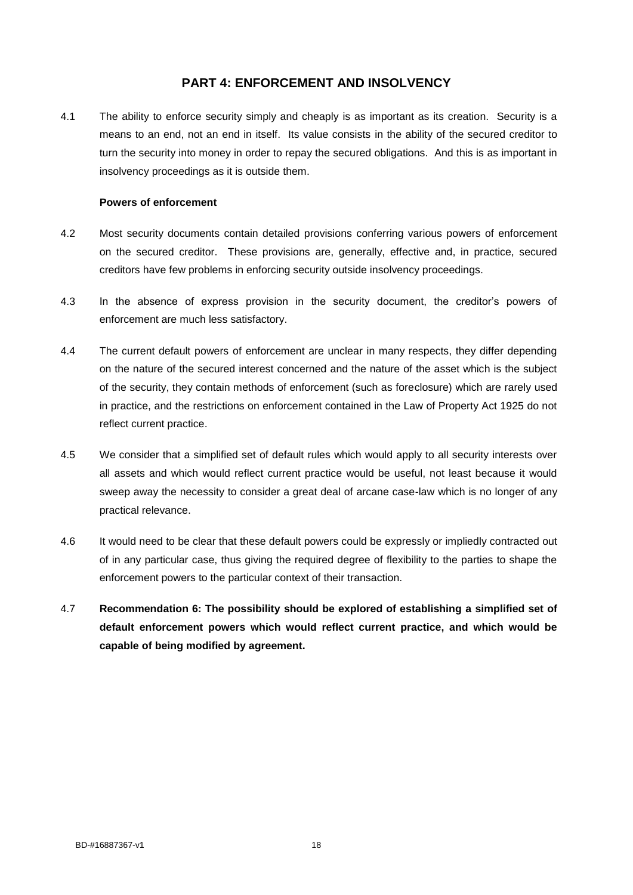# **PART 4: ENFORCEMENT AND INSOLVENCY**

4.1 The ability to enforce security simply and cheaply is as important as its creation. Security is a means to an end, not an end in itself. Its value consists in the ability of the secured creditor to turn the security into money in order to repay the secured obligations. And this is as important in insolvency proceedings as it is outside them.

## **Powers of enforcement**

- 4.2 Most security documents contain detailed provisions conferring various powers of enforcement on the secured creditor. These provisions are, generally, effective and, in practice, secured creditors have few problems in enforcing security outside insolvency proceedings.
- 4.3 In the absence of express provision in the security document, the creditor's powers of enforcement are much less satisfactory.
- 4.4 The current default powers of enforcement are unclear in many respects, they differ depending on the nature of the secured interest concerned and the nature of the asset which is the subject of the security, they contain methods of enforcement (such as foreclosure) which are rarely used in practice, and the restrictions on enforcement contained in the Law of Property Act 1925 do not reflect current practice.
- 4.5 We consider that a simplified set of default rules which would apply to all security interests over all assets and which would reflect current practice would be useful, not least because it would sweep away the necessity to consider a great deal of arcane case-law which is no longer of any practical relevance.
- 4.6 It would need to be clear that these default powers could be expressly or impliedly contracted out of in any particular case, thus giving the required degree of flexibility to the parties to shape the enforcement powers to the particular context of their transaction.
- 4.7 **Recommendation 6: The possibility should be explored of establishing a simplified set of default enforcement powers which would reflect current practice, and which would be capable of being modified by agreement.**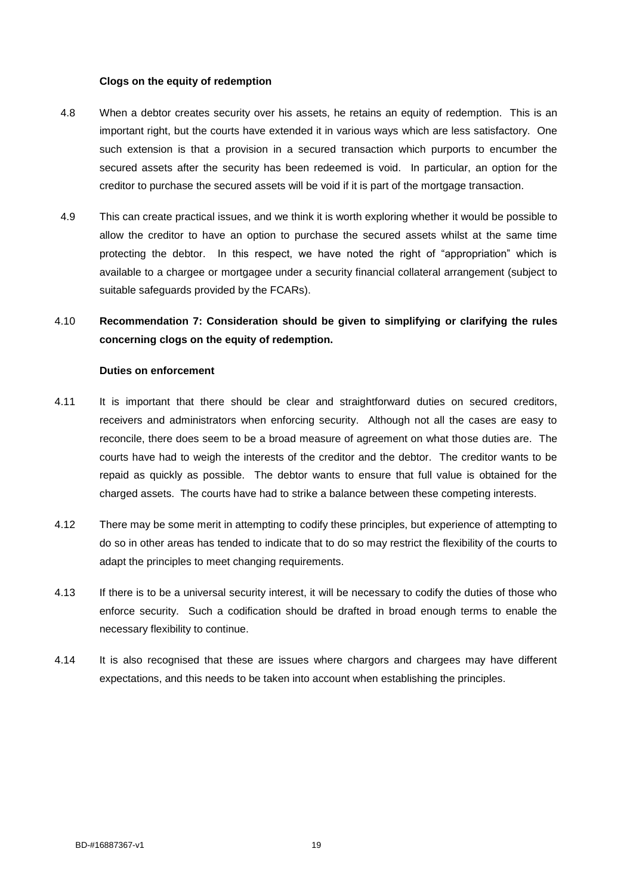### **Clogs on the equity of redemption**

- 4.8 When a debtor creates security over his assets, he retains an equity of redemption. This is an important right, but the courts have extended it in various ways which are less satisfactory. One such extension is that a provision in a secured transaction which purports to encumber the secured assets after the security has been redeemed is void. In particular, an option for the creditor to purchase the secured assets will be void if it is part of the mortgage transaction.
- 4.9 This can create practical issues, and we think it is worth exploring whether it would be possible to allow the creditor to have an option to purchase the secured assets whilst at the same time protecting the debtor. In this respect, we have noted the right of "appropriation" which is available to a chargee or mortgagee under a security financial collateral arrangement (subject to suitable safeguards provided by the FCARs).

# 4.10 **Recommendation 7: Consideration should be given to simplifying or clarifying the rules concerning clogs on the equity of redemption.**

### **Duties on enforcement**

- 4.11 It is important that there should be clear and straightforward duties on secured creditors, receivers and administrators when enforcing security. Although not all the cases are easy to reconcile, there does seem to be a broad measure of agreement on what those duties are. The courts have had to weigh the interests of the creditor and the debtor. The creditor wants to be repaid as quickly as possible. The debtor wants to ensure that full value is obtained for the charged assets. The courts have had to strike a balance between these competing interests.
- 4.12 There may be some merit in attempting to codify these principles, but experience of attempting to do so in other areas has tended to indicate that to do so may restrict the flexibility of the courts to adapt the principles to meet changing requirements.
- 4.13 If there is to be a universal security interest, it will be necessary to codify the duties of those who enforce security. Such a codification should be drafted in broad enough terms to enable the necessary flexibility to continue.
- 4.14 It is also recognised that these are issues where chargors and chargees may have different expectations, and this needs to be taken into account when establishing the principles.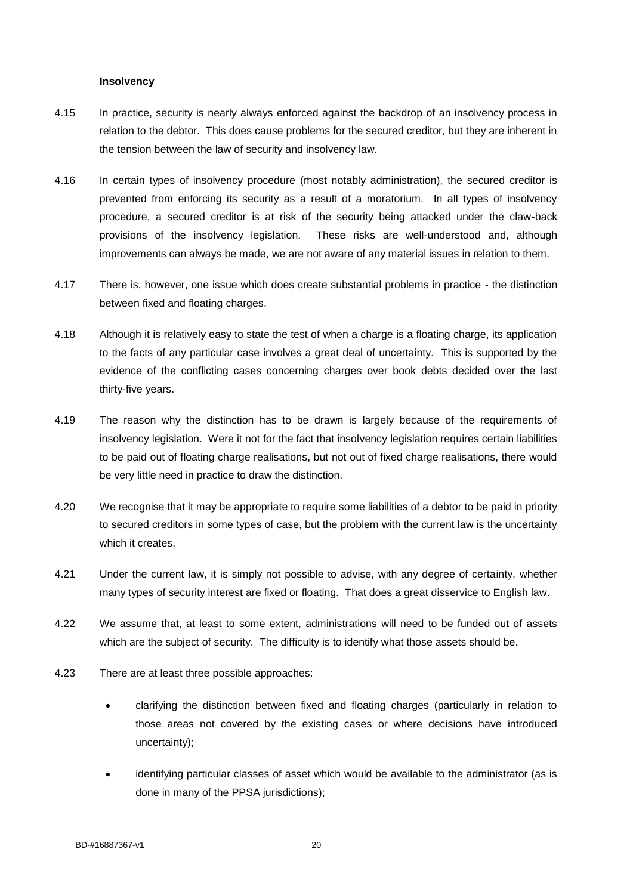#### **Insolvency**

- 4.15 In practice, security is nearly always enforced against the backdrop of an insolvency process in relation to the debtor. This does cause problems for the secured creditor, but they are inherent in the tension between the law of security and insolvency law.
- 4.16 In certain types of insolvency procedure (most notably administration), the secured creditor is prevented from enforcing its security as a result of a moratorium. In all types of insolvency procedure, a secured creditor is at risk of the security being attacked under the claw-back provisions of the insolvency legislation. These risks are well-understood and, although improvements can always be made, we are not aware of any material issues in relation to them.
- 4.17 There is, however, one issue which does create substantial problems in practice the distinction between fixed and floating charges.
- 4.18 Although it is relatively easy to state the test of when a charge is a floating charge, its application to the facts of any particular case involves a great deal of uncertainty. This is supported by the evidence of the conflicting cases concerning charges over book debts decided over the last thirty-five years.
- 4.19 The reason why the distinction has to be drawn is largely because of the requirements of insolvency legislation. Were it not for the fact that insolvency legislation requires certain liabilities to be paid out of floating charge realisations, but not out of fixed charge realisations, there would be very little need in practice to draw the distinction.
- 4.20 We recognise that it may be appropriate to require some liabilities of a debtor to be paid in priority to secured creditors in some types of case, but the problem with the current law is the uncertainty which it creates
- 4.21 Under the current law, it is simply not possible to advise, with any degree of certainty, whether many types of security interest are fixed or floating. That does a great disservice to English law.
- 4.22 We assume that, at least to some extent, administrations will need to be funded out of assets which are the subject of security. The difficulty is to identify what those assets should be.
- 4.23 There are at least three possible approaches:
	- clarifying the distinction between fixed and floating charges (particularly in relation to those areas not covered by the existing cases or where decisions have introduced uncertainty);
	- identifying particular classes of asset which would be available to the administrator (as is done in many of the PPSA jurisdictions);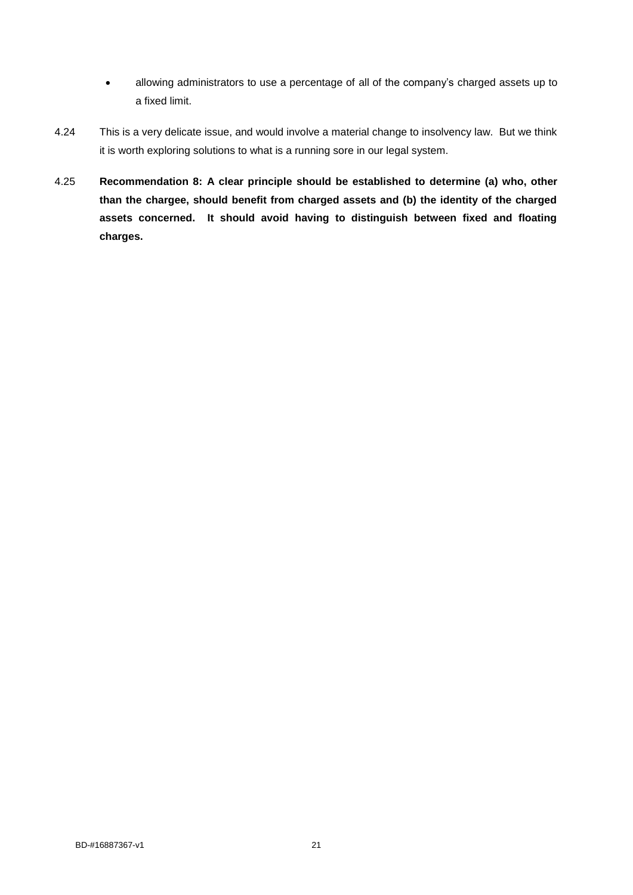- allowing administrators to use a percentage of all of the company's charged assets up to a fixed limit.
- 4.24 This is a very delicate issue, and would involve a material change to insolvency law. But we think it is worth exploring solutions to what is a running sore in our legal system.
- 4.25 **Recommendation 8: A clear principle should be established to determine (a) who, other than the chargee, should benefit from charged assets and (b) the identity of the charged assets concerned. It should avoid having to distinguish between fixed and floating charges.**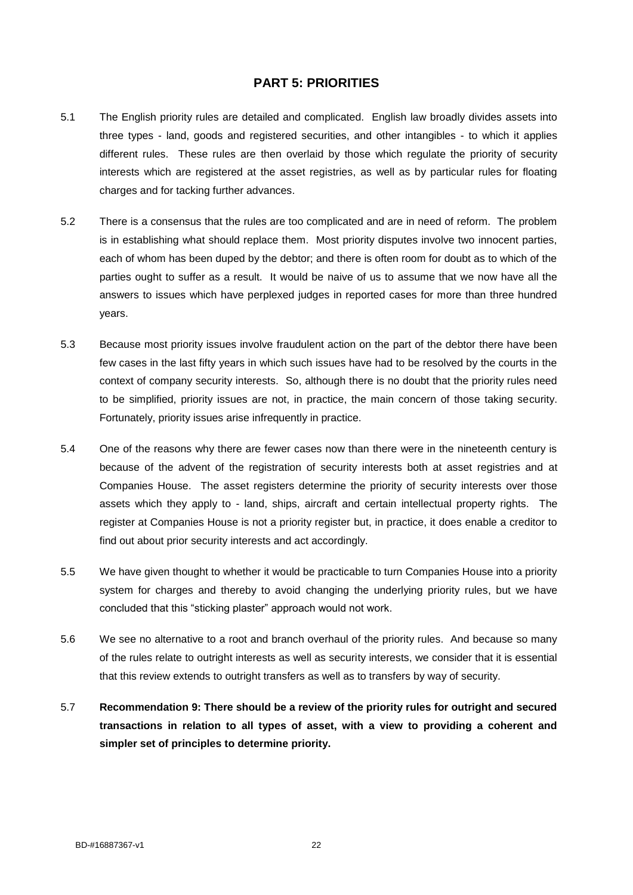# **PART 5: PRIORITIES**

- 5.1 The English priority rules are detailed and complicated. English law broadly divides assets into three types - land, goods and registered securities, and other intangibles - to which it applies different rules. These rules are then overlaid by those which regulate the priority of security interests which are registered at the asset registries, as well as by particular rules for floating charges and for tacking further advances.
- 5.2 There is a consensus that the rules are too complicated and are in need of reform. The problem is in establishing what should replace them. Most priority disputes involve two innocent parties, each of whom has been duped by the debtor; and there is often room for doubt as to which of the parties ought to suffer as a result. It would be naive of us to assume that we now have all the answers to issues which have perplexed judges in reported cases for more than three hundred years.
- 5.3 Because most priority issues involve fraudulent action on the part of the debtor there have been few cases in the last fifty years in which such issues have had to be resolved by the courts in the context of company security interests. So, although there is no doubt that the priority rules need to be simplified, priority issues are not, in practice, the main concern of those taking security. Fortunately, priority issues arise infrequently in practice.
- 5.4 One of the reasons why there are fewer cases now than there were in the nineteenth century is because of the advent of the registration of security interests both at asset registries and at Companies House. The asset registers determine the priority of security interests over those assets which they apply to - land, ships, aircraft and certain intellectual property rights. The register at Companies House is not a priority register but, in practice, it does enable a creditor to find out about prior security interests and act accordingly.
- 5.5 We have given thought to whether it would be practicable to turn Companies House into a priority system for charges and thereby to avoid changing the underlying priority rules, but we have concluded that this "sticking plaster" approach would not work.
- 5.6 We see no alternative to a root and branch overhaul of the priority rules. And because so many of the rules relate to outright interests as well as security interests, we consider that it is essential that this review extends to outright transfers as well as to transfers by way of security.
- 5.7 **Recommendation 9: There should be a review of the priority rules for outright and secured transactions in relation to all types of asset, with a view to providing a coherent and simpler set of principles to determine priority.**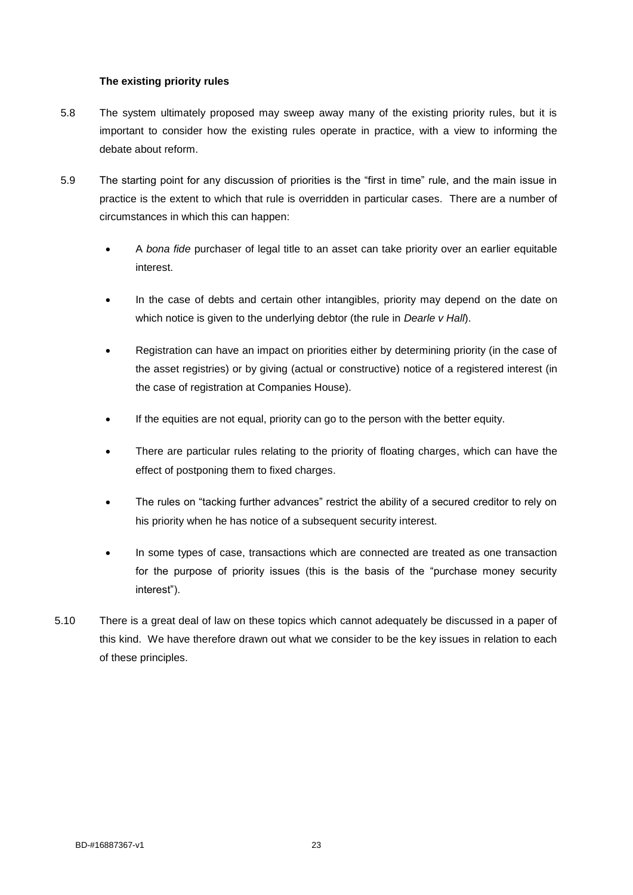## **The existing priority rules**

- 5.8 The system ultimately proposed may sweep away many of the existing priority rules, but it is important to consider how the existing rules operate in practice, with a view to informing the debate about reform.
- 5.9 The starting point for any discussion of priorities is the "first in time" rule, and the main issue in practice is the extent to which that rule is overridden in particular cases. There are a number of circumstances in which this can happen:
	- A *bona fide* purchaser of legal title to an asset can take priority over an earlier equitable interest.
	- In the case of debts and certain other intangibles, priority may depend on the date on which notice is given to the underlying debtor (the rule in *Dearle v Hall*).
	- Registration can have an impact on priorities either by determining priority (in the case of the asset registries) or by giving (actual or constructive) notice of a registered interest (in the case of registration at Companies House).
	- If the equities are not equal, priority can go to the person with the better equity.
	- There are particular rules relating to the priority of floating charges, which can have the effect of postponing them to fixed charges.
	- The rules on "tacking further advances" restrict the ability of a secured creditor to rely on his priority when he has notice of a subsequent security interest.
	- In some types of case, transactions which are connected are treated as one transaction for the purpose of priority issues (this is the basis of the "purchase money security interest").
- 5.10 There is a great deal of law on these topics which cannot adequately be discussed in a paper of this kind. We have therefore drawn out what we consider to be the key issues in relation to each of these principles.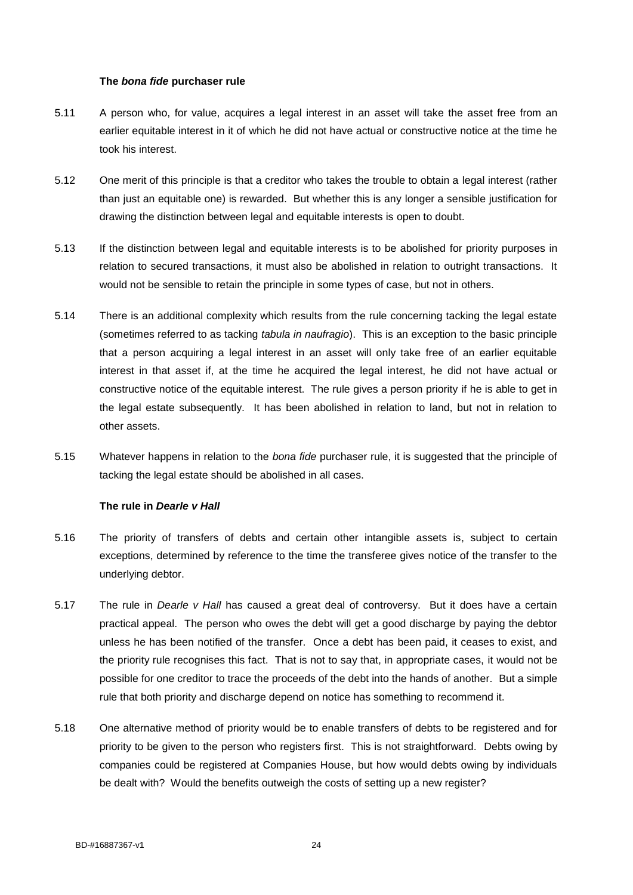### **The** *bona fide* **purchaser rule**

- 5.11 A person who, for value, acquires a legal interest in an asset will take the asset free from an earlier equitable interest in it of which he did not have actual or constructive notice at the time he took his interest.
- 5.12 One merit of this principle is that a creditor who takes the trouble to obtain a legal interest (rather than just an equitable one) is rewarded. But whether this is any longer a sensible justification for drawing the distinction between legal and equitable interests is open to doubt.
- 5.13 If the distinction between legal and equitable interests is to be abolished for priority purposes in relation to secured transactions, it must also be abolished in relation to outright transactions. It would not be sensible to retain the principle in some types of case, but not in others.
- 5.14 There is an additional complexity which results from the rule concerning tacking the legal estate (sometimes referred to as tacking *tabula in naufragio*). This is an exception to the basic principle that a person acquiring a legal interest in an asset will only take free of an earlier equitable interest in that asset if, at the time he acquired the legal interest, he did not have actual or constructive notice of the equitable interest. The rule gives a person priority if he is able to get in the legal estate subsequently. It has been abolished in relation to land, but not in relation to other assets.
- 5.15 Whatever happens in relation to the *bona fide* purchaser rule, it is suggested that the principle of tacking the legal estate should be abolished in all cases.

### **The rule in** *Dearle v Hall*

- 5.16 The priority of transfers of debts and certain other intangible assets is, subject to certain exceptions, determined by reference to the time the transferee gives notice of the transfer to the underlying debtor.
- 5.17 The rule in *Dearle v Hall* has caused a great deal of controversy. But it does have a certain practical appeal. The person who owes the debt will get a good discharge by paying the debtor unless he has been notified of the transfer. Once a debt has been paid, it ceases to exist, and the priority rule recognises this fact. That is not to say that, in appropriate cases, it would not be possible for one creditor to trace the proceeds of the debt into the hands of another. But a simple rule that both priority and discharge depend on notice has something to recommend it.
- 5.18 One alternative method of priority would be to enable transfers of debts to be registered and for priority to be given to the person who registers first. This is not straightforward. Debts owing by companies could be registered at Companies House, but how would debts owing by individuals be dealt with? Would the benefits outweigh the costs of setting up a new register?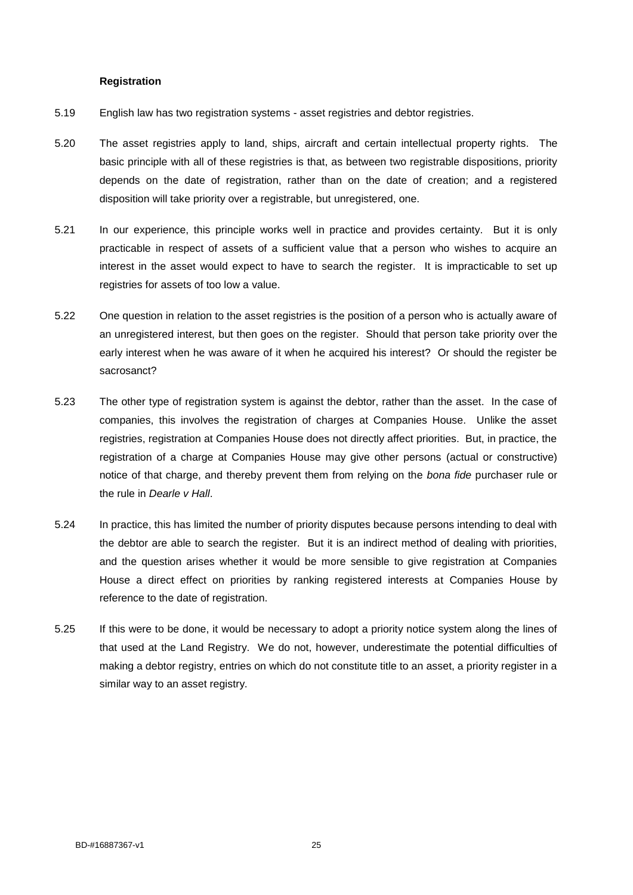#### **Registration**

- 5.19 English law has two registration systems asset registries and debtor registries.
- 5.20 The asset registries apply to land, ships, aircraft and certain intellectual property rights. The basic principle with all of these registries is that, as between two registrable dispositions, priority depends on the date of registration, rather than on the date of creation; and a registered disposition will take priority over a registrable, but unregistered, one.
- 5.21 In our experience, this principle works well in practice and provides certainty. But it is only practicable in respect of assets of a sufficient value that a person who wishes to acquire an interest in the asset would expect to have to search the register. It is impracticable to set up registries for assets of too low a value.
- 5.22 One question in relation to the asset registries is the position of a person who is actually aware of an unregistered interest, but then goes on the register. Should that person take priority over the early interest when he was aware of it when he acquired his interest? Or should the register be sacrosanct?
- 5.23 The other type of registration system is against the debtor, rather than the asset. In the case of companies, this involves the registration of charges at Companies House. Unlike the asset registries, registration at Companies House does not directly affect priorities. But, in practice, the registration of a charge at Companies House may give other persons (actual or constructive) notice of that charge, and thereby prevent them from relying on the *bona fide* purchaser rule or the rule in *Dearle v Hall*.
- 5.24 In practice, this has limited the number of priority disputes because persons intending to deal with the debtor are able to search the register. But it is an indirect method of dealing with priorities, and the question arises whether it would be more sensible to give registration at Companies House a direct effect on priorities by ranking registered interests at Companies House by reference to the date of registration.
- 5.25 If this were to be done, it would be necessary to adopt a priority notice system along the lines of that used at the Land Registry. We do not, however, underestimate the potential difficulties of making a debtor registry, entries on which do not constitute title to an asset, a priority register in a similar way to an asset registry.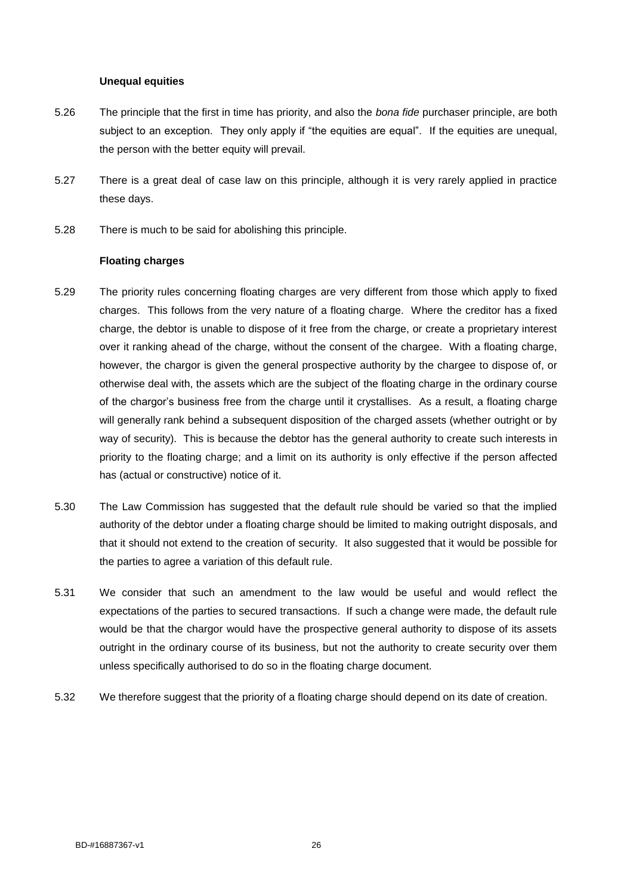### **Unequal equities**

- 5.26 The principle that the first in time has priority, and also the *bona fide* purchaser principle, are both subject to an exception. They only apply if "the equities are equal". If the equities are unequal, the person with the better equity will prevail.
- 5.27 There is a great deal of case law on this principle, although it is very rarely applied in practice these days.
- 5.28 There is much to be said for abolishing this principle.

## **Floating charges**

- 5.29 The priority rules concerning floating charges are very different from those which apply to fixed charges. This follows from the very nature of a floating charge. Where the creditor has a fixed charge, the debtor is unable to dispose of it free from the charge, or create a proprietary interest over it ranking ahead of the charge, without the consent of the chargee. With a floating charge, however, the chargor is given the general prospective authority by the chargee to dispose of, or otherwise deal with, the assets which are the subject of the floating charge in the ordinary course of the chargor's business free from the charge until it crystallises. As a result, a floating charge will generally rank behind a subsequent disposition of the charged assets (whether outright or by way of security). This is because the debtor has the general authority to create such interests in priority to the floating charge; and a limit on its authority is only effective if the person affected has (actual or constructive) notice of it.
- 5.30 The Law Commission has suggested that the default rule should be varied so that the implied authority of the debtor under a floating charge should be limited to making outright disposals, and that it should not extend to the creation of security. It also suggested that it would be possible for the parties to agree a variation of this default rule.
- 5.31 We consider that such an amendment to the law would be useful and would reflect the expectations of the parties to secured transactions. If such a change were made, the default rule would be that the chargor would have the prospective general authority to dispose of its assets outright in the ordinary course of its business, but not the authority to create security over them unless specifically authorised to do so in the floating charge document.
- 5.32 We therefore suggest that the priority of a floating charge should depend on its date of creation.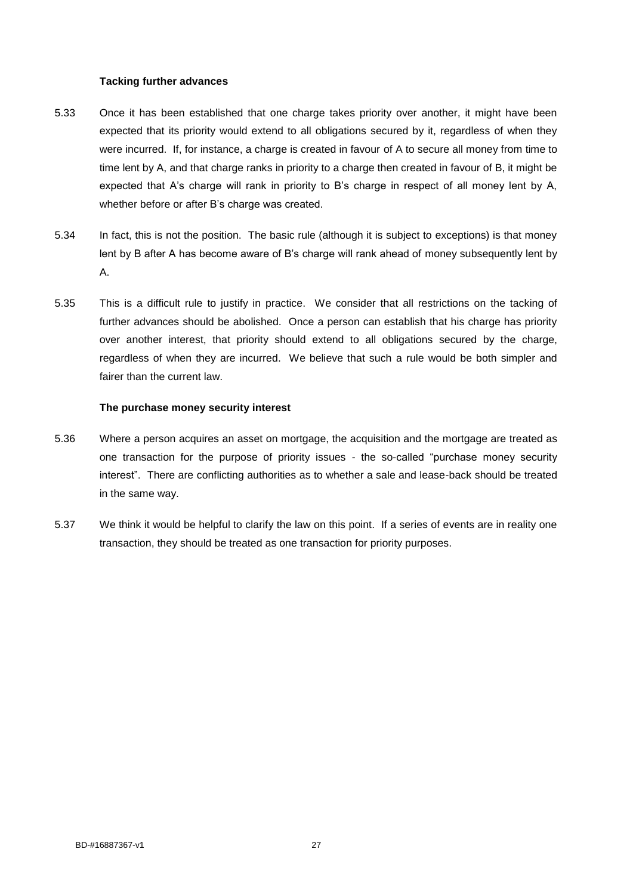### **Tacking further advances**

- 5.33 Once it has been established that one charge takes priority over another, it might have been expected that its priority would extend to all obligations secured by it, regardless of when they were incurred. If, for instance, a charge is created in favour of A to secure all money from time to time lent by A, and that charge ranks in priority to a charge then created in favour of B, it might be expected that A's charge will rank in priority to B's charge in respect of all money lent by A, whether before or after B's charge was created.
- 5.34 In fact, this is not the position. The basic rule (although it is subject to exceptions) is that money lent by B after A has become aware of B's charge will rank ahead of money subsequently lent by A.
- 5.35 This is a difficult rule to justify in practice. We consider that all restrictions on the tacking of further advances should be abolished. Once a person can establish that his charge has priority over another interest, that priority should extend to all obligations secured by the charge, regardless of when they are incurred. We believe that such a rule would be both simpler and fairer than the current law.

## **The purchase money security interest**

- 5.36 Where a person acquires an asset on mortgage, the acquisition and the mortgage are treated as one transaction for the purpose of priority issues - the so-called "purchase money security interest". There are conflicting authorities as to whether a sale and lease-back should be treated in the same way.
- 5.37 We think it would be helpful to clarify the law on this point. If a series of events are in reality one transaction, they should be treated as one transaction for priority purposes.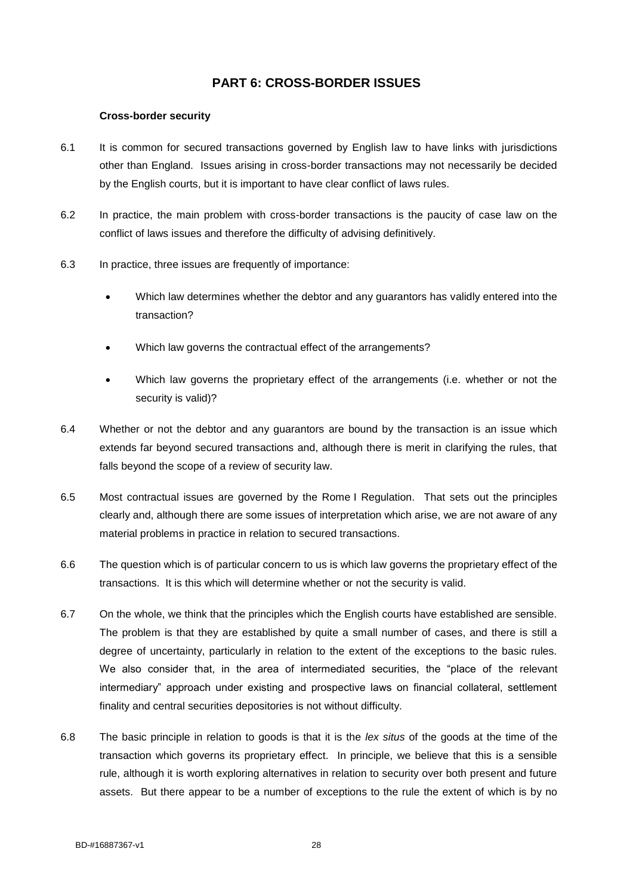# **PART 6: CROSS-BORDER ISSUES**

### **Cross-border security**

- 6.1 It is common for secured transactions governed by English law to have links with jurisdictions other than England. Issues arising in cross-border transactions may not necessarily be decided by the English courts, but it is important to have clear conflict of laws rules.
- 6.2 In practice, the main problem with cross-border transactions is the paucity of case law on the conflict of laws issues and therefore the difficulty of advising definitively.
- 6.3 In practice, three issues are frequently of importance:
	- Which law determines whether the debtor and any guarantors has validly entered into the transaction?
	- Which law governs the contractual effect of the arrangements?
	- Which law governs the proprietary effect of the arrangements (i.e. whether or not the security is valid)?
- 6.4 Whether or not the debtor and any guarantors are bound by the transaction is an issue which extends far beyond secured transactions and, although there is merit in clarifying the rules, that falls beyond the scope of a review of security law.
- 6.5 Most contractual issues are governed by the Rome I Regulation. That sets out the principles clearly and, although there are some issues of interpretation which arise, we are not aware of any material problems in practice in relation to secured transactions.
- 6.6 The question which is of particular concern to us is which law governs the proprietary effect of the transactions. It is this which will determine whether or not the security is valid.
- 6.7 On the whole, we think that the principles which the English courts have established are sensible. The problem is that they are established by quite a small number of cases, and there is still a degree of uncertainty, particularly in relation to the extent of the exceptions to the basic rules. We also consider that, in the area of intermediated securities, the "place of the relevant intermediary" approach under existing and prospective laws on financial collateral, settlement finality and central securities depositories is not without difficulty.
- 6.8 The basic principle in relation to goods is that it is the *lex situs* of the goods at the time of the transaction which governs its proprietary effect. In principle, we believe that this is a sensible rule, although it is worth exploring alternatives in relation to security over both present and future assets. But there appear to be a number of exceptions to the rule the extent of which is by no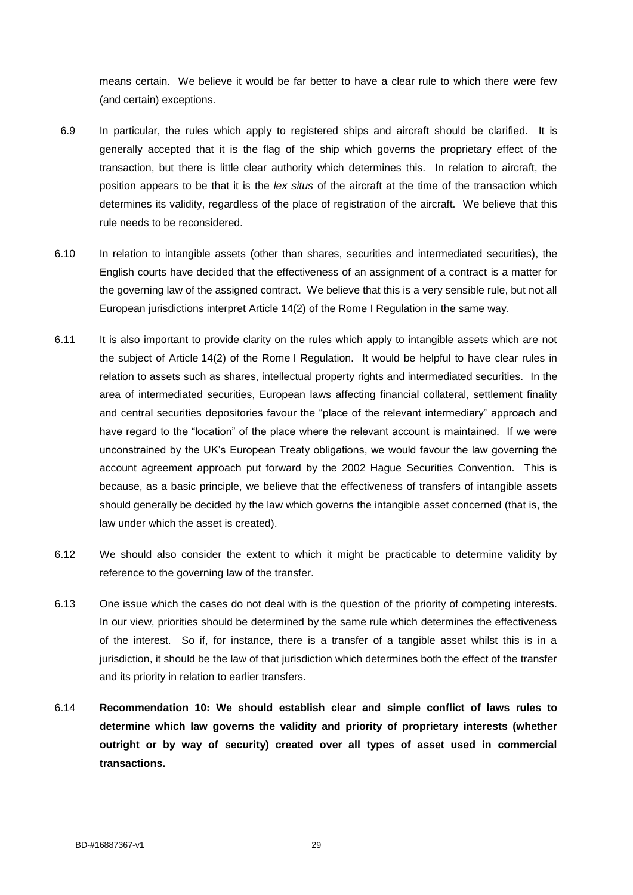means certain. We believe it would be far better to have a clear rule to which there were few (and certain) exceptions.

- 6.9 In particular, the rules which apply to registered ships and aircraft should be clarified. It is generally accepted that it is the flag of the ship which governs the proprietary effect of the transaction, but there is little clear authority which determines this. In relation to aircraft, the position appears to be that it is the *lex situs* of the aircraft at the time of the transaction which determines its validity, regardless of the place of registration of the aircraft. We believe that this rule needs to be reconsidered.
- 6.10 In relation to intangible assets (other than shares, securities and intermediated securities), the English courts have decided that the effectiveness of an assignment of a contract is a matter for the governing law of the assigned contract. We believe that this is a very sensible rule, but not all European jurisdictions interpret Article 14(2) of the Rome I Regulation in the same way.
- 6.11 It is also important to provide clarity on the rules which apply to intangible assets which are not the subject of Article 14(2) of the Rome I Regulation. It would be helpful to have clear rules in relation to assets such as shares, intellectual property rights and intermediated securities. In the area of intermediated securities, European laws affecting financial collateral, settlement finality and central securities depositories favour the "place of the relevant intermediary" approach and have regard to the "location" of the place where the relevant account is maintained. If we were unconstrained by the UK's European Treaty obligations, we would favour the law governing the account agreement approach put forward by the 2002 Hague Securities Convention. This is because, as a basic principle, we believe that the effectiveness of transfers of intangible assets should generally be decided by the law which governs the intangible asset concerned (that is, the law under which the asset is created).
- 6.12 We should also consider the extent to which it might be practicable to determine validity by reference to the governing law of the transfer.
- 6.13 One issue which the cases do not deal with is the question of the priority of competing interests. In our view, priorities should be determined by the same rule which determines the effectiveness of the interest. So if, for instance, there is a transfer of a tangible asset whilst this is in a jurisdiction, it should be the law of that jurisdiction which determines both the effect of the transfer and its priority in relation to earlier transfers.
- 6.14 **Recommendation 10: We should establish clear and simple conflict of laws rules to determine which law governs the validity and priority of proprietary interests (whether outright or by way of security) created over all types of asset used in commercial transactions.**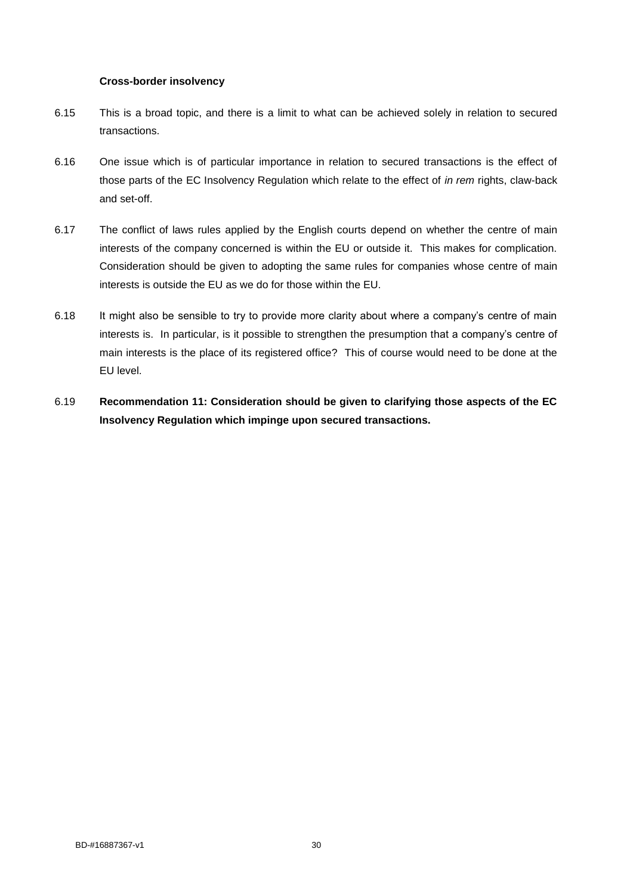## **Cross-border insolvency**

- 6.15 This is a broad topic, and there is a limit to what can be achieved solely in relation to secured transactions.
- 6.16 One issue which is of particular importance in relation to secured transactions is the effect of those parts of the EC Insolvency Regulation which relate to the effect of *in rem* rights, claw-back and set-off.
- 6.17 The conflict of laws rules applied by the English courts depend on whether the centre of main interests of the company concerned is within the EU or outside it. This makes for complication. Consideration should be given to adopting the same rules for companies whose centre of main interests is outside the EU as we do for those within the EU.
- 6.18 It might also be sensible to try to provide more clarity about where a company's centre of main interests is. In particular, is it possible to strengthen the presumption that a company's centre of main interests is the place of its registered office? This of course would need to be done at the EU level.
- 6.19 **Recommendation 11: Consideration should be given to clarifying those aspects of the EC Insolvency Regulation which impinge upon secured transactions.**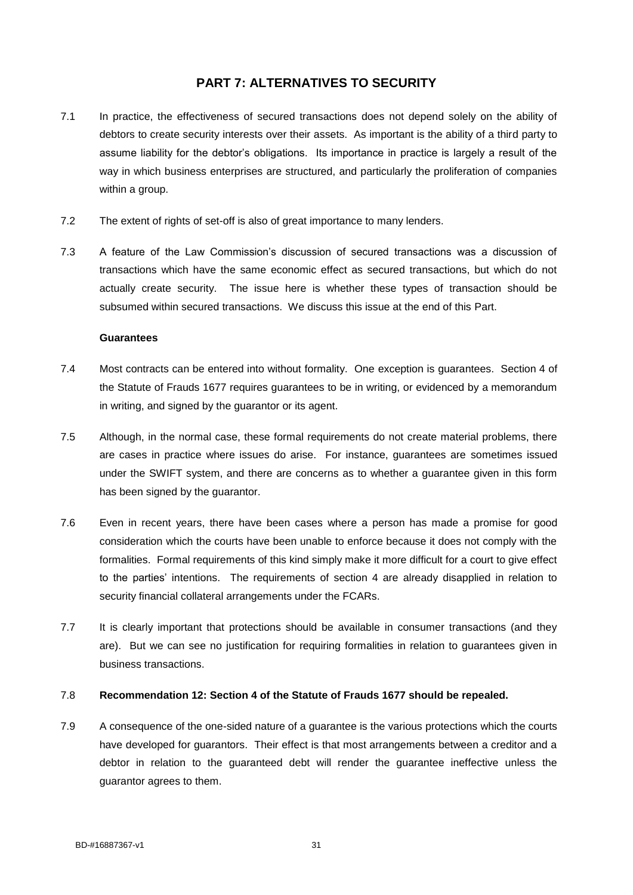## **PART 7: ALTERNATIVES TO SECURITY**

- 7.1 In practice, the effectiveness of secured transactions does not depend solely on the ability of debtors to create security interests over their assets. As important is the ability of a third party to assume liability for the debtor's obligations. Its importance in practice is largely a result of the way in which business enterprises are structured, and particularly the proliferation of companies within a group.
- 7.2 The extent of rights of set-off is also of great importance to many lenders.
- 7.3 A feature of the Law Commission's discussion of secured transactions was a discussion of transactions which have the same economic effect as secured transactions, but which do not actually create security. The issue here is whether these types of transaction should be subsumed within secured transactions. We discuss this issue at the end of this Part.

#### **Guarantees**

- 7.4 Most contracts can be entered into without formality. One exception is guarantees. Section 4 of the Statute of Frauds 1677 requires guarantees to be in writing, or evidenced by a memorandum in writing, and signed by the guarantor or its agent.
- 7.5 Although, in the normal case, these formal requirements do not create material problems, there are cases in practice where issues do arise. For instance, guarantees are sometimes issued under the SWIFT system, and there are concerns as to whether a guarantee given in this form has been signed by the guarantor.
- 7.6 Even in recent years, there have been cases where a person has made a promise for good consideration which the courts have been unable to enforce because it does not comply with the formalities. Formal requirements of this kind simply make it more difficult for a court to give effect to the parties' intentions. The requirements of section 4 are already disapplied in relation to security financial collateral arrangements under the FCARs.
- 7.7 It is clearly important that protections should be available in consumer transactions (and they are). But we can see no justification for requiring formalities in relation to guarantees given in business transactions.

#### 7.8 **Recommendation 12: Section 4 of the Statute of Frauds 1677 should be repealed.**

7.9 A consequence of the one-sided nature of a guarantee is the various protections which the courts have developed for guarantors. Their effect is that most arrangements between a creditor and a debtor in relation to the guaranteed debt will render the guarantee ineffective unless the guarantor agrees to them.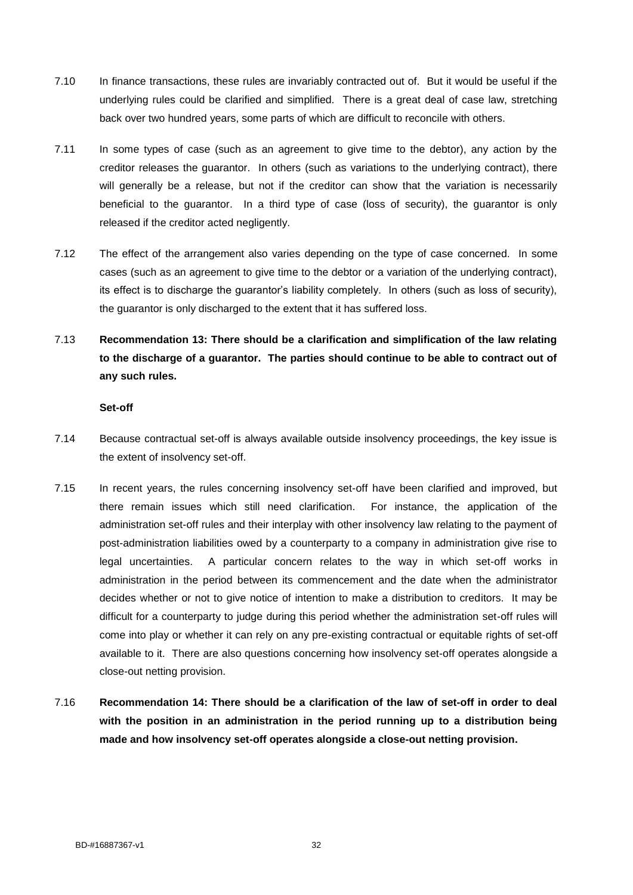- 7.10 In finance transactions, these rules are invariably contracted out of. But it would be useful if the underlying rules could be clarified and simplified. There is a great deal of case law, stretching back over two hundred years, some parts of which are difficult to reconcile with others.
- 7.11 In some types of case (such as an agreement to give time to the debtor), any action by the creditor releases the guarantor. In others (such as variations to the underlying contract), there will generally be a release, but not if the creditor can show that the variation is necessarily beneficial to the guarantor. In a third type of case (loss of security), the guarantor is only released if the creditor acted negligently.
- 7.12 The effect of the arrangement also varies depending on the type of case concerned. In some cases (such as an agreement to give time to the debtor or a variation of the underlying contract), its effect is to discharge the guarantor's liability completely. In others (such as loss of security), the guarantor is only discharged to the extent that it has suffered loss.
- 7.13 **Recommendation 13: There should be a clarification and simplification of the law relating to the discharge of a guarantor. The parties should continue to be able to contract out of any such rules.**

### **Set-off**

- 7.14 Because contractual set-off is always available outside insolvency proceedings, the key issue is the extent of insolvency set-off.
- 7.15 In recent years, the rules concerning insolvency set-off have been clarified and improved, but there remain issues which still need clarification. For instance, the application of the administration set-off rules and their interplay with other insolvency law relating to the payment of post-administration liabilities owed by a counterparty to a company in administration give rise to legal uncertainties. A particular concern relates to the way in which set-off works in administration in the period between its commencement and the date when the administrator decides whether or not to give notice of intention to make a distribution to creditors. It may be difficult for a counterparty to judge during this period whether the administration set-off rules will come into play or whether it can rely on any pre-existing contractual or equitable rights of set-off available to it. There are also questions concerning how insolvency set-off operates alongside a close-out netting provision.
- 7.16 **Recommendation 14: There should be a clarification of the law of set-off in order to deal with the position in an administration in the period running up to a distribution being made and how insolvency set-off operates alongside a close-out netting provision.**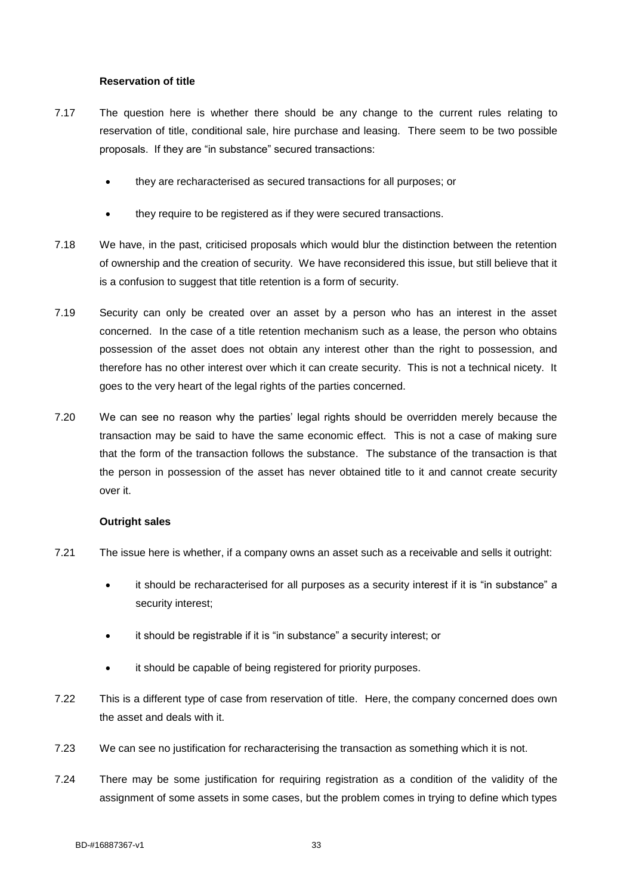### **Reservation of title**

- 7.17 The question here is whether there should be any change to the current rules relating to reservation of title, conditional sale, hire purchase and leasing. There seem to be two possible proposals. If they are "in substance" secured transactions:
	- they are recharacterised as secured transactions for all purposes; or
	- they require to be registered as if they were secured transactions.
- 7.18 We have, in the past, criticised proposals which would blur the distinction between the retention of ownership and the creation of security. We have reconsidered this issue, but still believe that it is a confusion to suggest that title retention is a form of security.
- 7.19 Security can only be created over an asset by a person who has an interest in the asset concerned. In the case of a title retention mechanism such as a lease, the person who obtains possession of the asset does not obtain any interest other than the right to possession, and therefore has no other interest over which it can create security. This is not a technical nicety. It goes to the very heart of the legal rights of the parties concerned.
- 7.20 We can see no reason why the parties' legal rights should be overridden merely because the transaction may be said to have the same economic effect. This is not a case of making sure that the form of the transaction follows the substance. The substance of the transaction is that the person in possession of the asset has never obtained title to it and cannot create security over it.

### **Outright sales**

- 7.21 The issue here is whether, if a company owns an asset such as a receivable and sells it outright:
	- it should be recharacterised for all purposes as a security interest if it is "in substance" a security interest;
	- it should be registrable if it is "in substance" a security interest; or
	- it should be capable of being registered for priority purposes.
- 7.22 This is a different type of case from reservation of title. Here, the company concerned does own the asset and deals with it.
- 7.23 We can see no justification for recharacterising the transaction as something which it is not.
- 7.24 There may be some justification for requiring registration as a condition of the validity of the assignment of some assets in some cases, but the problem comes in trying to define which types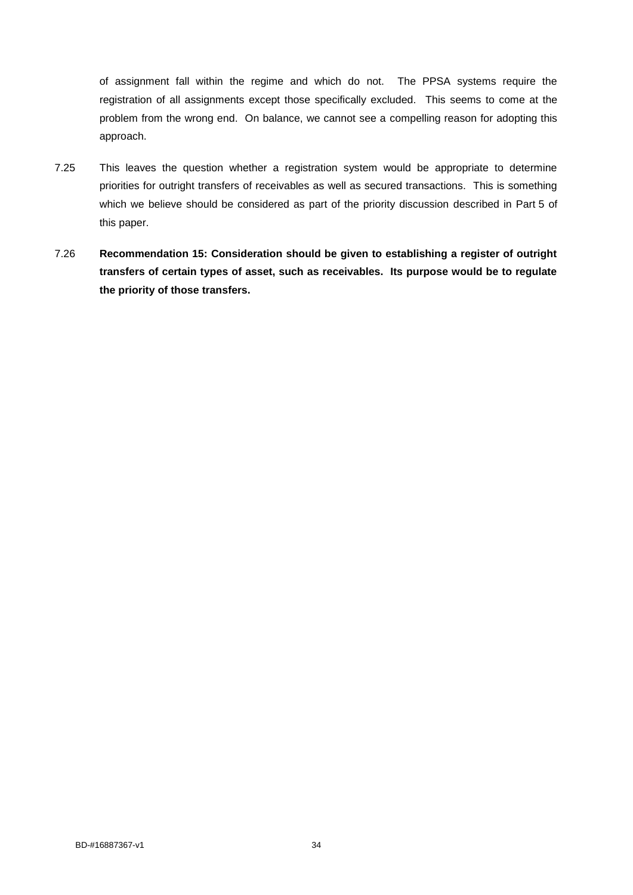of assignment fall within the regime and which do not. The PPSA systems require the registration of all assignments except those specifically excluded. This seems to come at the problem from the wrong end. On balance, we cannot see a compelling reason for adopting this approach.

- 7.25 This leaves the question whether a registration system would be appropriate to determine priorities for outright transfers of receivables as well as secured transactions. This is something which we believe should be considered as part of the priority discussion described in Part 5 of this paper.
- 7.26 **Recommendation 15: Consideration should be given to establishing a register of outright transfers of certain types of asset, such as receivables. Its purpose would be to regulate the priority of those transfers.**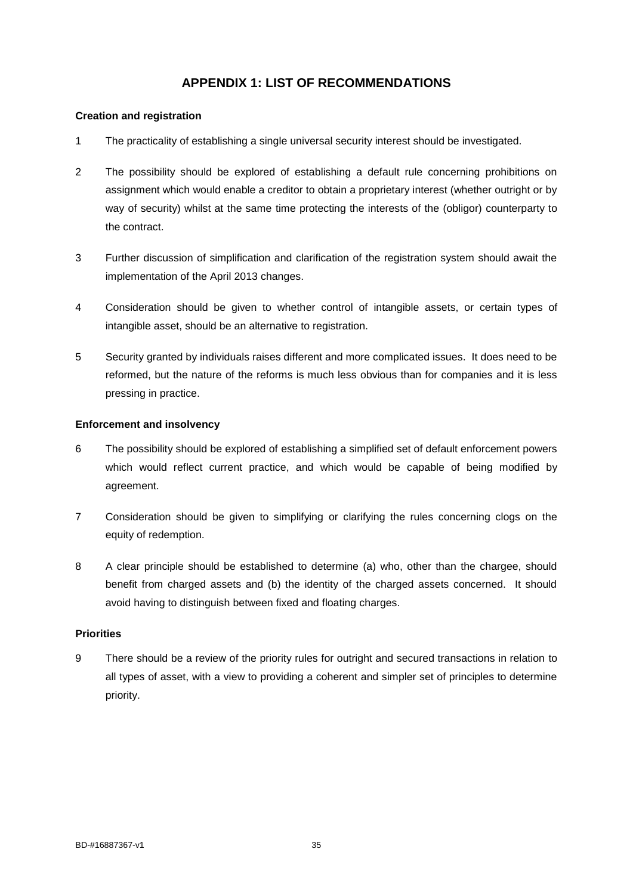# **APPENDIX 1: LIST OF RECOMMENDATIONS**

## **Creation and registration**

- 1 The practicality of establishing a single universal security interest should be investigated.
- 2 The possibility should be explored of establishing a default rule concerning prohibitions on assignment which would enable a creditor to obtain a proprietary interest (whether outright or by way of security) whilst at the same time protecting the interests of the (obligor) counterparty to the contract.
- 3 Further discussion of simplification and clarification of the registration system should await the implementation of the April 2013 changes.
- 4 Consideration should be given to whether control of intangible assets, or certain types of intangible asset, should be an alternative to registration.
- 5 Security granted by individuals raises different and more complicated issues. It does need to be reformed, but the nature of the reforms is much less obvious than for companies and it is less pressing in practice.

## **Enforcement and insolvency**

- 6 The possibility should be explored of establishing a simplified set of default enforcement powers which would reflect current practice, and which would be capable of being modified by agreement.
- 7 Consideration should be given to simplifying or clarifying the rules concerning clogs on the equity of redemption.
- 8 A clear principle should be established to determine (a) who, other than the chargee, should benefit from charged assets and (b) the identity of the charged assets concerned. It should avoid having to distinguish between fixed and floating charges.

## **Priorities**

9 There should be a review of the priority rules for outright and secured transactions in relation to all types of asset, with a view to providing a coherent and simpler set of principles to determine priority.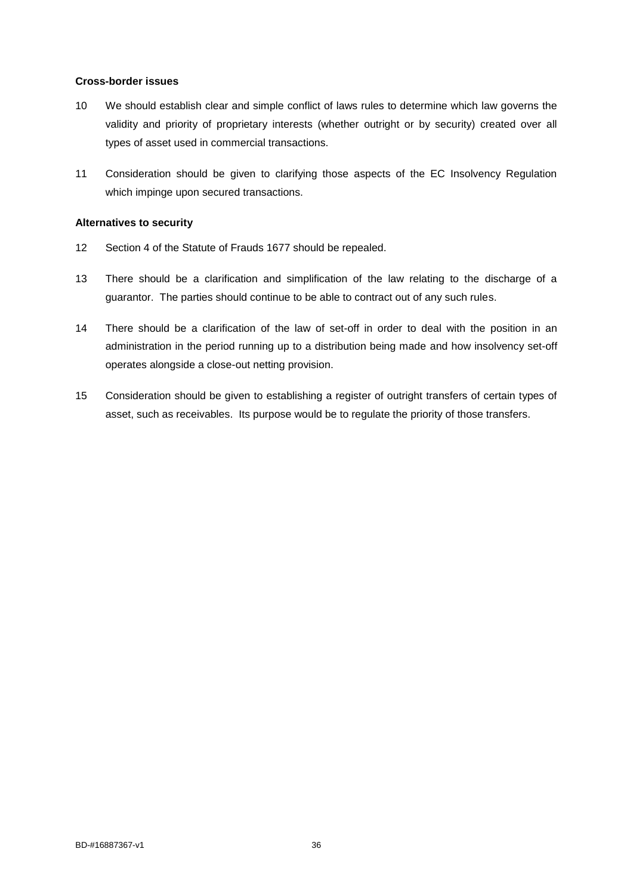## **Cross-border issues**

- 10 We should establish clear and simple conflict of laws rules to determine which law governs the validity and priority of proprietary interests (whether outright or by security) created over all types of asset used in commercial transactions.
- 11 Consideration should be given to clarifying those aspects of the EC Insolvency Regulation which impinge upon secured transactions.

## **Alternatives to security**

- 12 Section 4 of the Statute of Frauds 1677 should be repealed.
- 13 There should be a clarification and simplification of the law relating to the discharge of a guarantor. The parties should continue to be able to contract out of any such rules.
- 14 There should be a clarification of the law of set-off in order to deal with the position in an administration in the period running up to a distribution being made and how insolvency set-off operates alongside a close-out netting provision.
- 15 Consideration should be given to establishing a register of outright transfers of certain types of asset, such as receivables. Its purpose would be to regulate the priority of those transfers.